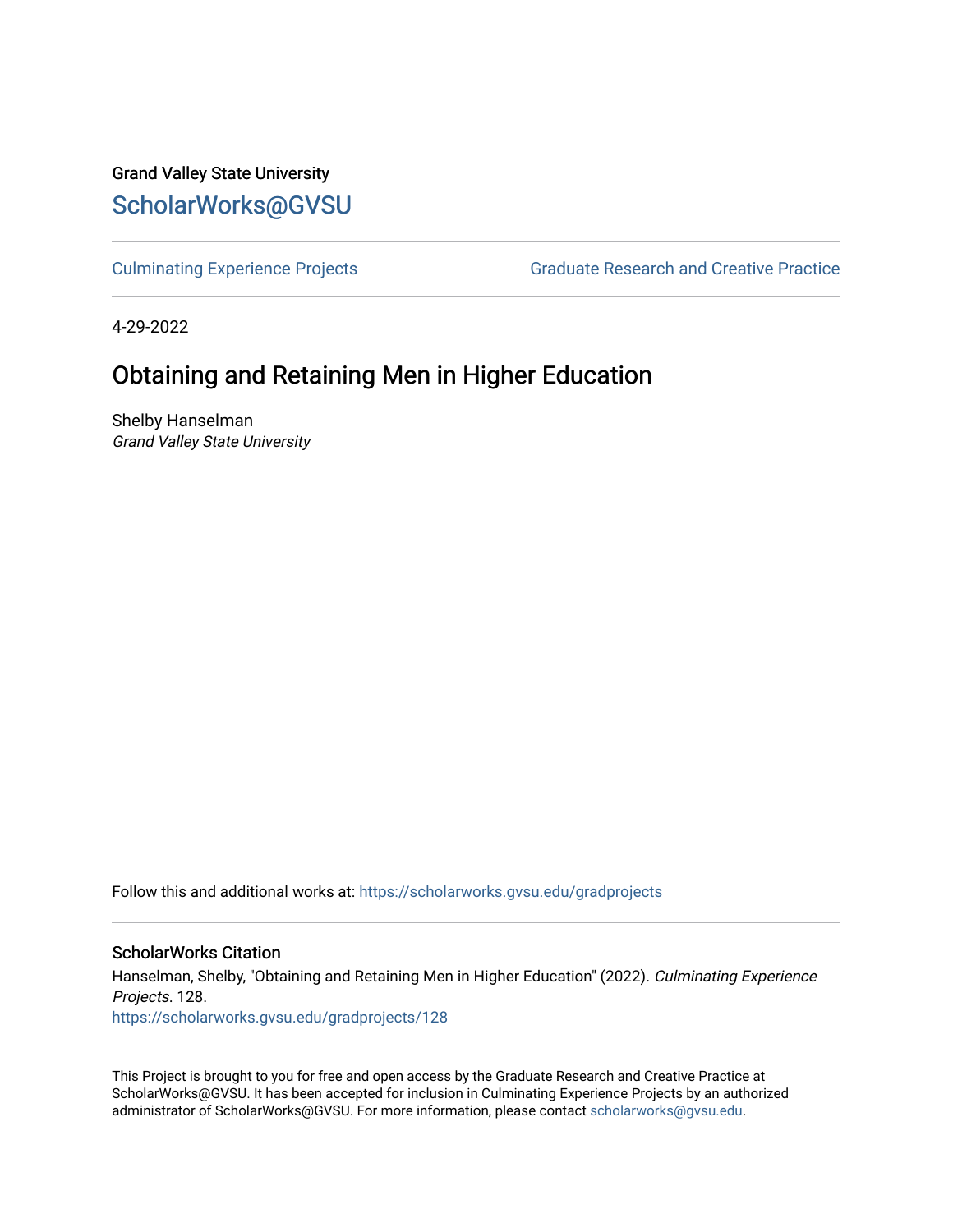Grand Valley State University [ScholarWorks@GVSU](https://scholarworks.gvsu.edu/) 

[Culminating Experience Projects](https://scholarworks.gvsu.edu/gradprojects) [Graduate Research and Creative Practice](https://scholarworks.gvsu.edu/grcp) 

4-29-2022

# Obtaining and Retaining Men in Higher Education

Shelby Hanselman Grand Valley State University

Follow this and additional works at: [https://scholarworks.gvsu.edu/gradprojects](https://scholarworks.gvsu.edu/gradprojects?utm_source=scholarworks.gvsu.edu%2Fgradprojects%2F128&utm_medium=PDF&utm_campaign=PDFCoverPages) 

## ScholarWorks Citation

Hanselman, Shelby, "Obtaining and Retaining Men in Higher Education" (2022). Culminating Experience Projects. 128.

[https://scholarworks.gvsu.edu/gradprojects/128](https://scholarworks.gvsu.edu/gradprojects/128?utm_source=scholarworks.gvsu.edu%2Fgradprojects%2F128&utm_medium=PDF&utm_campaign=PDFCoverPages) 

This Project is brought to you for free and open access by the Graduate Research and Creative Practice at ScholarWorks@GVSU. It has been accepted for inclusion in Culminating Experience Projects by an authorized administrator of ScholarWorks@GVSU. For more information, please contact [scholarworks@gvsu.edu](mailto:scholarworks@gvsu.edu).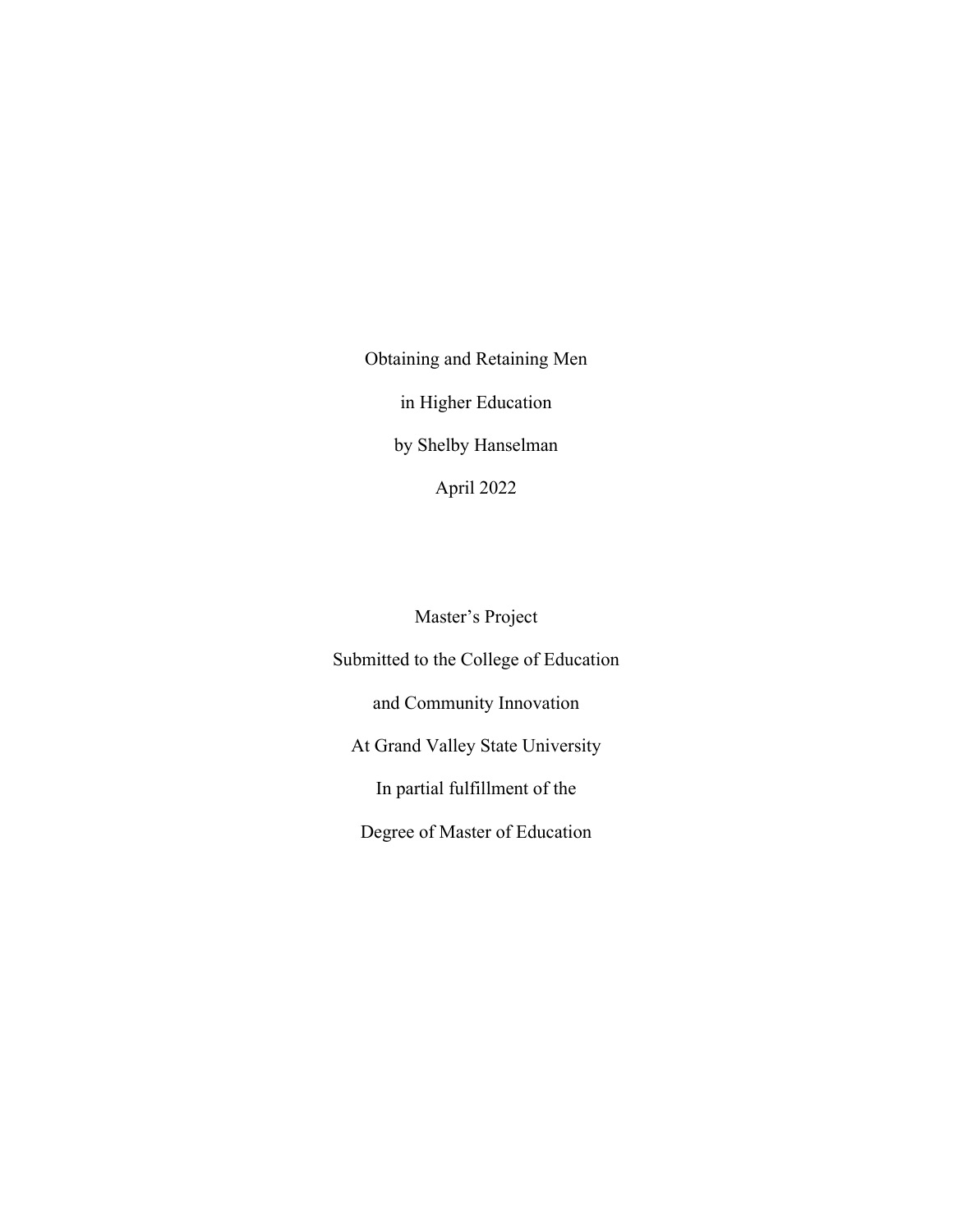Obtaining and Retaining Men in Higher Education by Shelby Hanselman April 2022

Master's Project

Submitted to the College of Education and Community Innovation At Grand Valley State University In partial fulfillment of the Degree of Master of Education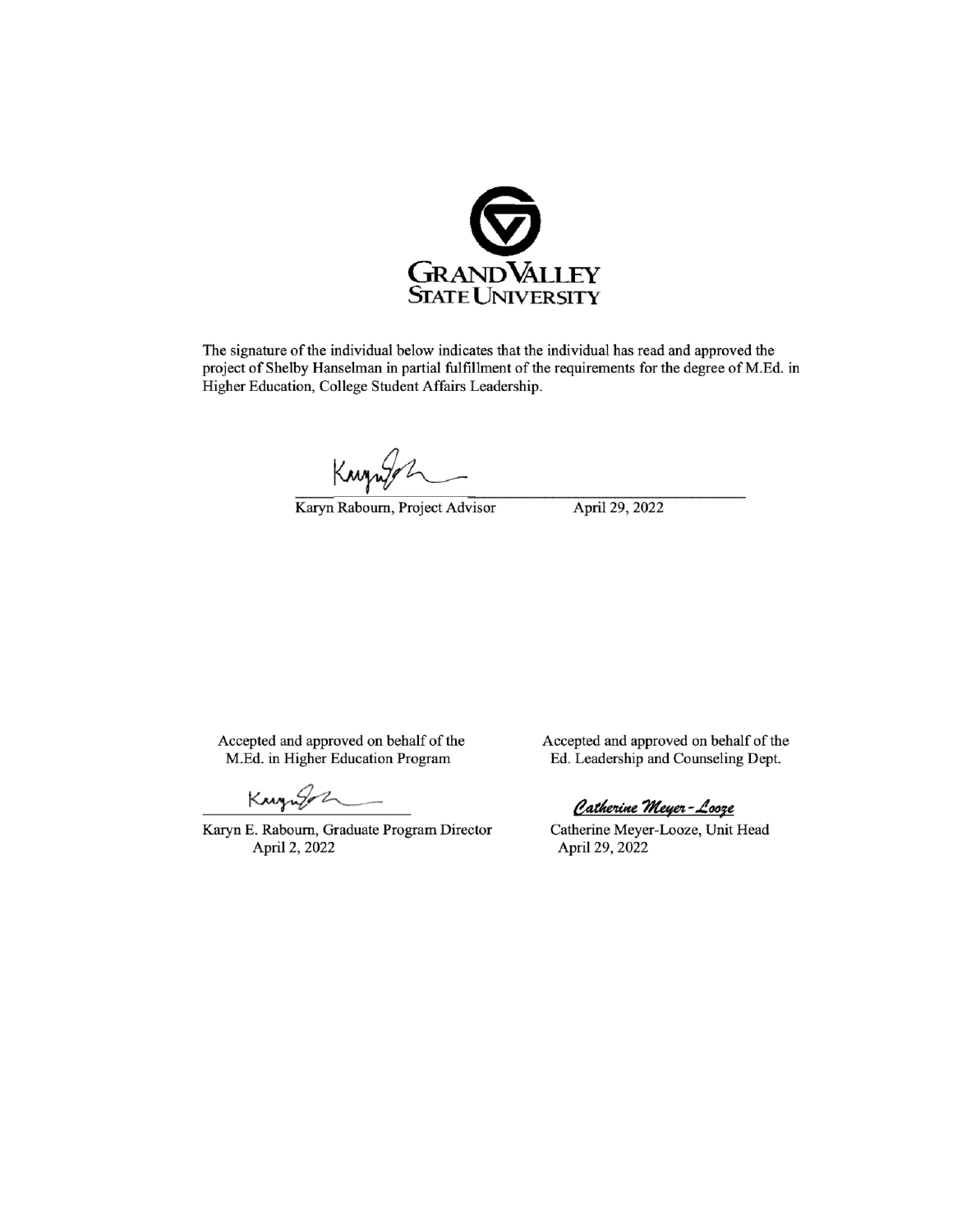

The signature of the individual below indicates that the individual has read and approved the project of Shelby Hanselman in partial fulfillment of the requirements for the degree of M.Ed. in Higher Education, College Student Affairs Leadership.

Knywy

Karyn Rabourn, Project Advisor

April 29, 2022

Accepted and approved on behalf of the M.Ed. in Higher Education Program

Kanzugan

Karyn E. Rabourn, Graduate Program Director April 2, 2022

Accepted and approved on behalf of the Ed. Leadership and Counseling Dept.

Catherine Meyer-Looze

Catherine Meyer-Looze, Unit Head April 29, 2022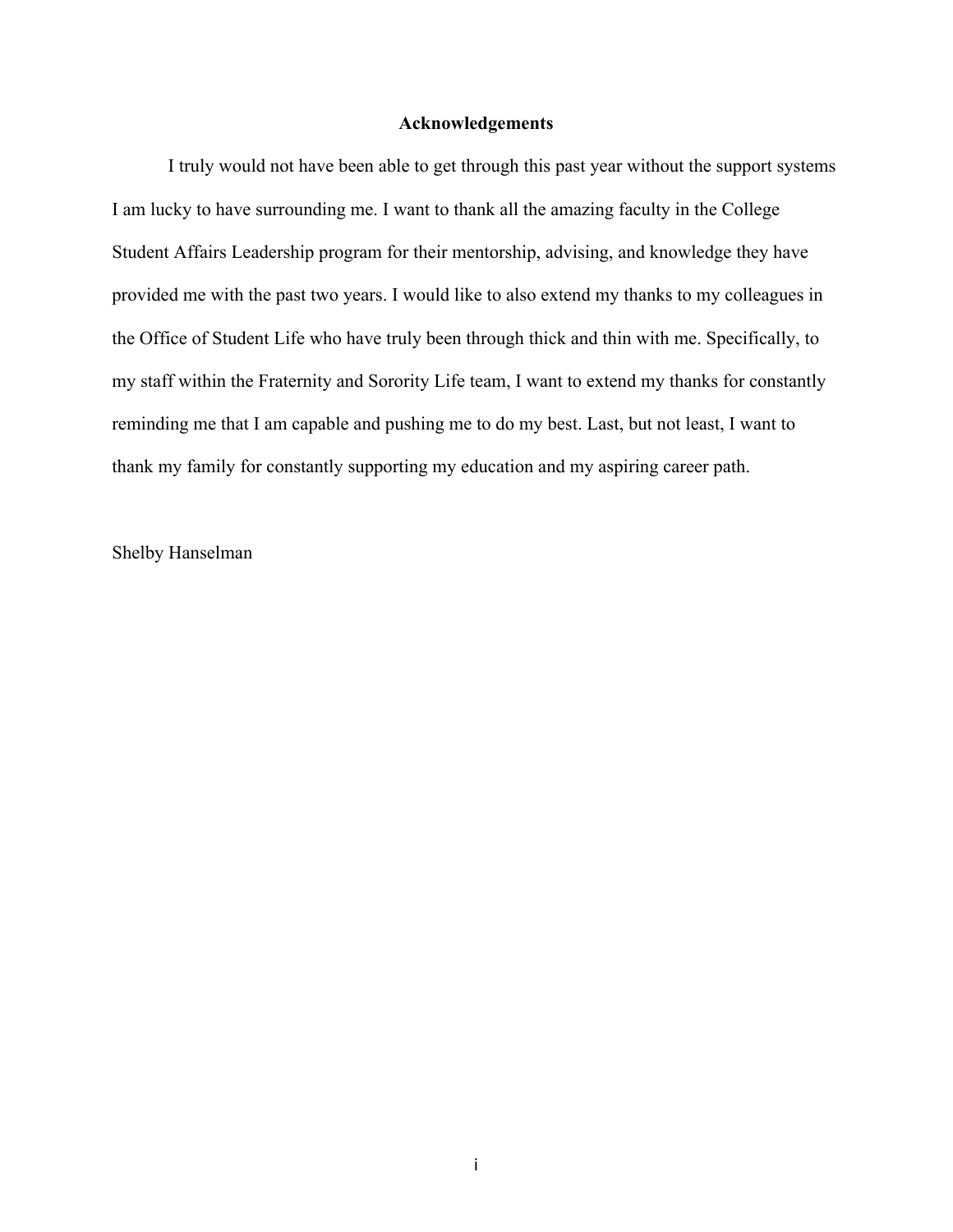## **Acknowledgements**

I truly would not have been able to get through this past year without the support systems I am lucky to have surrounding me. I want to thank all the amazing faculty in the College Student Affairs Leadership program for their mentorship, advising, and knowledge they have provided me with the past two years. I would like to also extend my thanks to my colleagues in the Office of Student Life who have truly been through thick and thin with me. Specifically, to my staff within the Fraternity and Sorority Life team, I want to extend my thanks for constantly reminding me that I am capable and pushing me to do my best. Last, but not least, I want to thank my family for constantly supporting my education and my aspiring career path.

Shelby Hanselman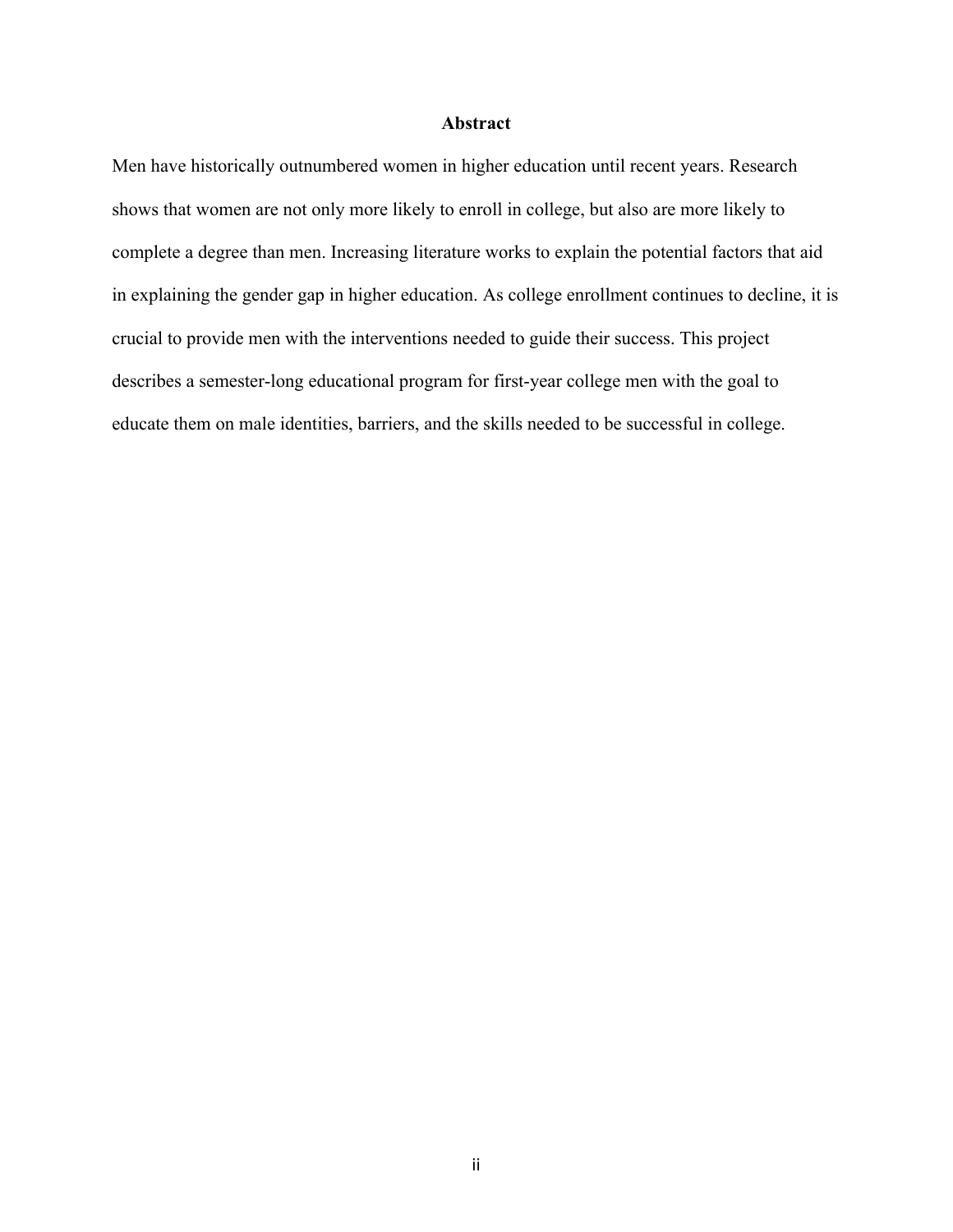## **Abstract**

Men have historically outnumbered women in higher education until recent years. Research shows that women are not only more likely to enroll in college, but also are more likely to complete a degree than men. Increasing literature works to explain the potential factors that aid in explaining the gender gap in higher education. As college enrollment continues to decline, it is crucial to provide men with the interventions needed to guide their success. This project describes a semester-long educational program for first-year college men with the goal to educate them on male identities, barriers, and the skills needed to be successful in college.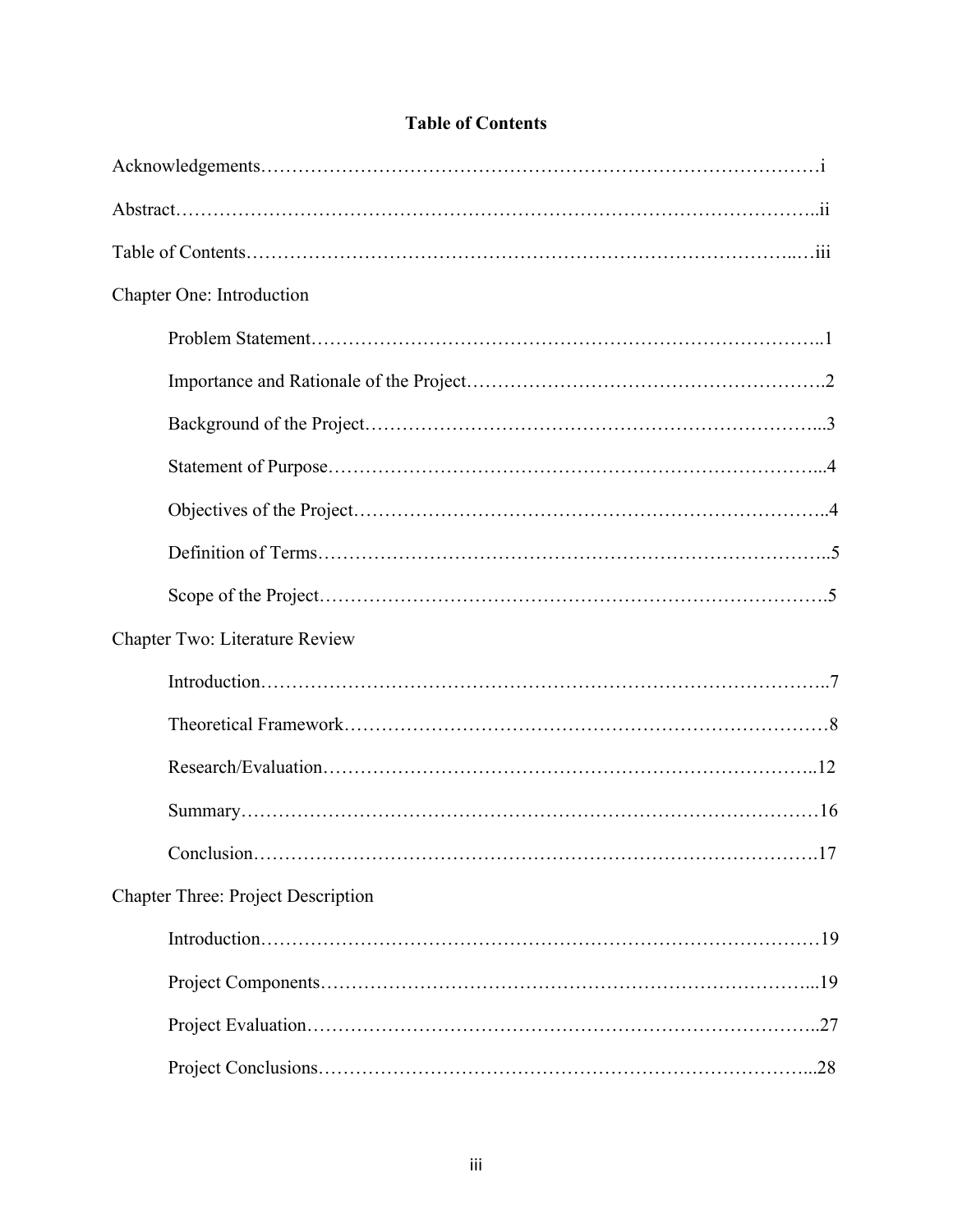| Chapter One: Introduction                 |
|-------------------------------------------|
|                                           |
|                                           |
|                                           |
|                                           |
|                                           |
|                                           |
|                                           |
| Chapter Two: Literature Review            |
|                                           |
|                                           |
|                                           |
|                                           |
|                                           |
| <b>Chapter Three: Project Description</b> |
|                                           |
|                                           |
|                                           |
|                                           |

## **Table of Contents**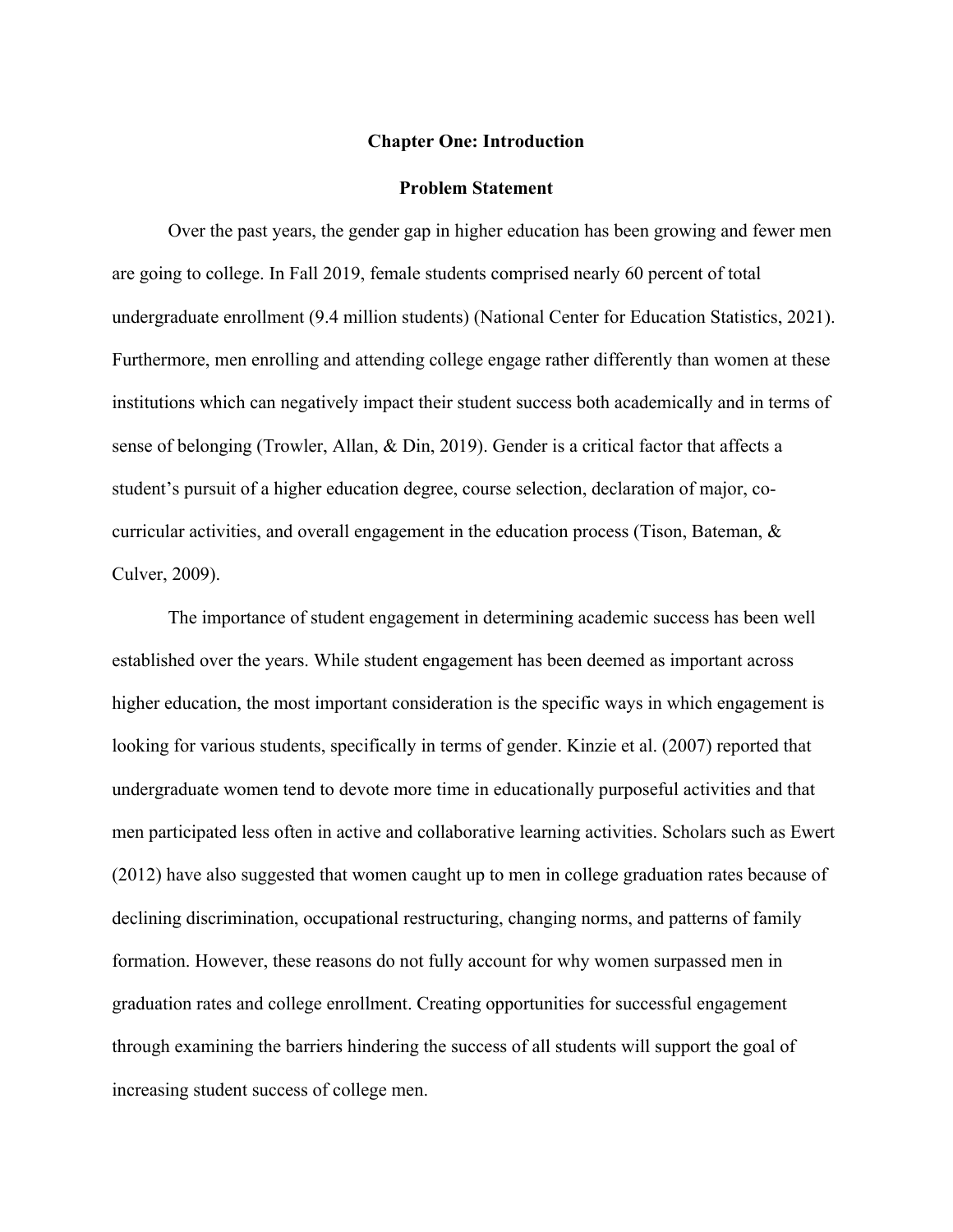### **Chapter One: Introduction**

## **Problem Statement**

Over the past years, the gender gap in higher education has been growing and fewer men are going to college. In Fall 2019, female students comprised nearly 60 percent of total undergraduate enrollment (9.4 million students) (National Center for Education Statistics, 2021). Furthermore, men enrolling and attending college engage rather differently than women at these institutions which can negatively impact their student success both academically and in terms of sense of belonging (Trowler, Allan, & Din, 2019). Gender is a critical factor that affects a student's pursuit of a higher education degree, course selection, declaration of major, cocurricular activities, and overall engagement in the education process (Tison, Bateman, & Culver, 2009).

The importance of student engagement in determining academic success has been well established over the years. While student engagement has been deemed as important across higher education, the most important consideration is the specific ways in which engagement is looking for various students, specifically in terms of gender. Kinzie et al. (2007) reported that undergraduate women tend to devote more time in educationally purposeful activities and that men participated less often in active and collaborative learning activities. Scholars such as Ewert (2012) have also suggested that women caught up to men in college graduation rates because of declining discrimination, occupational restructuring, changing norms, and patterns of family formation. However, these reasons do not fully account for why women surpassed men in graduation rates and college enrollment. Creating opportunities for successful engagement through examining the barriers hindering the success of all students will support the goal of increasing student success of college men.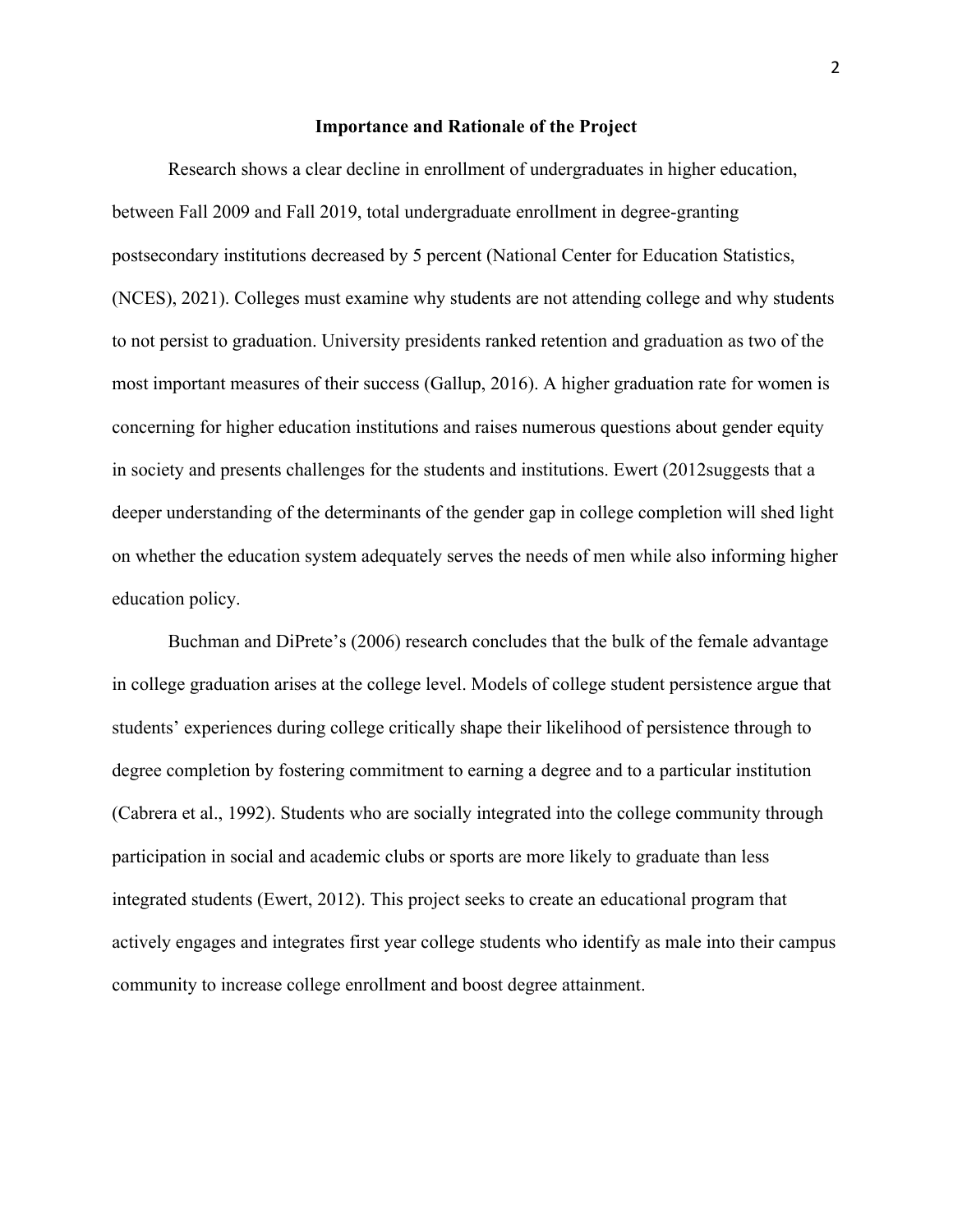## **Importance and Rationale of the Project**

Research shows a clear decline in enrollment of undergraduates in higher education, between Fall 2009 and Fall 2019, total undergraduate enrollment in degree-granting postsecondary institutions decreased by 5 percent (National Center for Education Statistics, (NCES), 2021). Colleges must examine why students are not attending college and why students to not persist to graduation. University presidents ranked retention and graduation as two of the most important measures of their success (Gallup, 2016). A higher graduation rate for women is concerning for higher education institutions and raises numerous questions about gender equity in society and presents challenges for the students and institutions. Ewert (2012suggests that a deeper understanding of the determinants of the gender gap in college completion will shed light on whether the education system adequately serves the needs of men while also informing higher education policy.

Buchman and DiPrete's (2006) research concludes that the bulk of the female advantage in college graduation arises at the college level. Models of college student persistence argue that students' experiences during college critically shape their likelihood of persistence through to degree completion by fostering commitment to earning a degree and to a particular institution (Cabrera et al., 1992). Students who are socially integrated into the college community through participation in social and academic clubs or sports are more likely to graduate than less integrated students (Ewert, 2012). This project seeks to create an educational program that actively engages and integrates first year college students who identify as male into their campus community to increase college enrollment and boost degree attainment.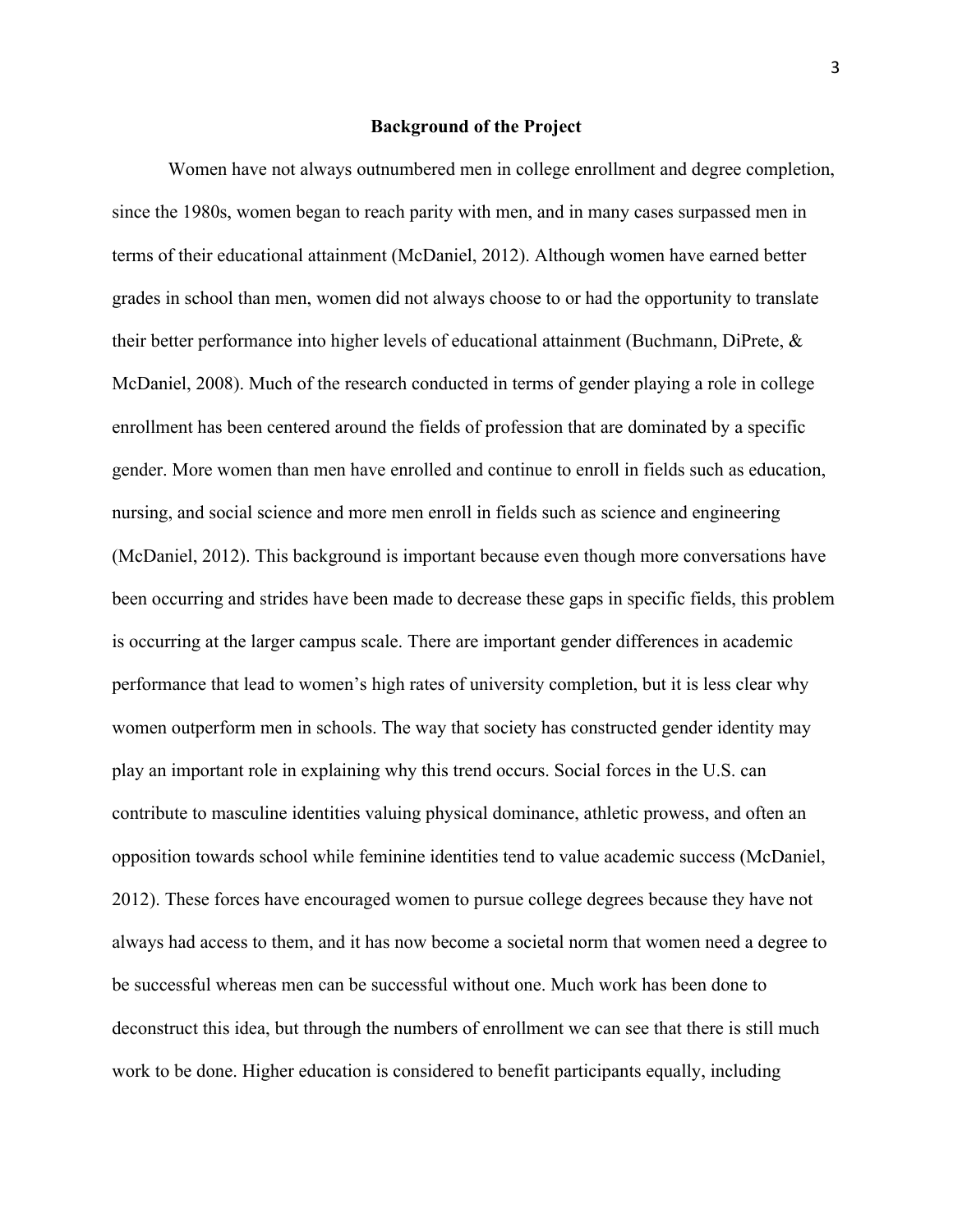## **Background of the Project**

Women have not always outnumbered men in college enrollment and degree completion, since the 1980s, women began to reach parity with men, and in many cases surpassed men in terms of their educational attainment (McDaniel, 2012). Although women have earned better grades in school than men, women did not always choose to or had the opportunity to translate their better performance into higher levels of educational attainment (Buchmann, DiPrete, & McDaniel, 2008). Much of the research conducted in terms of gender playing a role in college enrollment has been centered around the fields of profession that are dominated by a specific gender. More women than men have enrolled and continue to enroll in fields such as education, nursing, and social science and more men enroll in fields such as science and engineering (McDaniel, 2012). This background is important because even though more conversations have been occurring and strides have been made to decrease these gaps in specific fields, this problem is occurring at the larger campus scale. There are important gender differences in academic performance that lead to women's high rates of university completion, but it is less clear why women outperform men in schools. The way that society has constructed gender identity may play an important role in explaining why this trend occurs. Social forces in the U.S. can contribute to masculine identities valuing physical dominance, athletic prowess, and often an opposition towards school while feminine identities tend to value academic success (McDaniel, 2012). These forces have encouraged women to pursue college degrees because they have not always had access to them, and it has now become a societal norm that women need a degree to be successful whereas men can be successful without one. Much work has been done to deconstruct this idea, but through the numbers of enrollment we can see that there is still much work to be done. Higher education is considered to benefit participants equally, including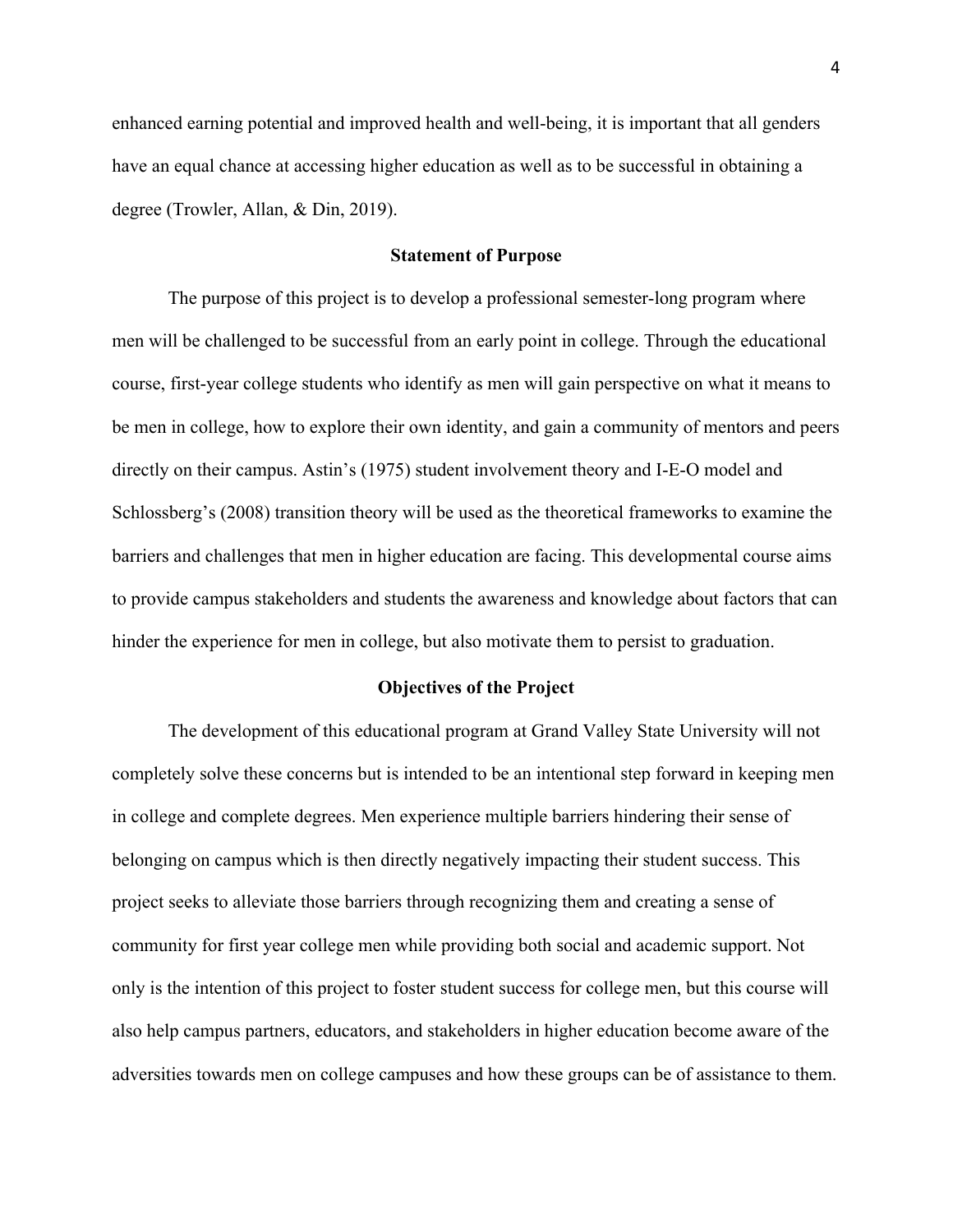enhanced earning potential and improved health and well-being, it is important that all genders have an equal chance at accessing higher education as well as to be successful in obtaining a degree (Trowler, Allan, & Din, 2019).

## **Statement of Purpose**

The purpose of this project is to develop a professional semester-long program where men will be challenged to be successful from an early point in college. Through the educational course, first-year college students who identify as men will gain perspective on what it means to be men in college, how to explore their own identity, and gain a community of mentors and peers directly on their campus. Astin's (1975) student involvement theory and I-E-O model and Schlossberg's (2008) transition theory will be used as the theoretical frameworks to examine the barriers and challenges that men in higher education are facing. This developmental course aims to provide campus stakeholders and students the awareness and knowledge about factors that can hinder the experience for men in college, but also motivate them to persist to graduation.

## **Objectives of the Project**

The development of this educational program at Grand Valley State University will not completely solve these concerns but is intended to be an intentional step forward in keeping men in college and complete degrees. Men experience multiple barriers hindering their sense of belonging on campus which is then directly negatively impacting their student success. This project seeks to alleviate those barriers through recognizing them and creating a sense of community for first year college men while providing both social and academic support. Not only is the intention of this project to foster student success for college men, but this course will also help campus partners, educators, and stakeholders in higher education become aware of the adversities towards men on college campuses and how these groups can be of assistance to them.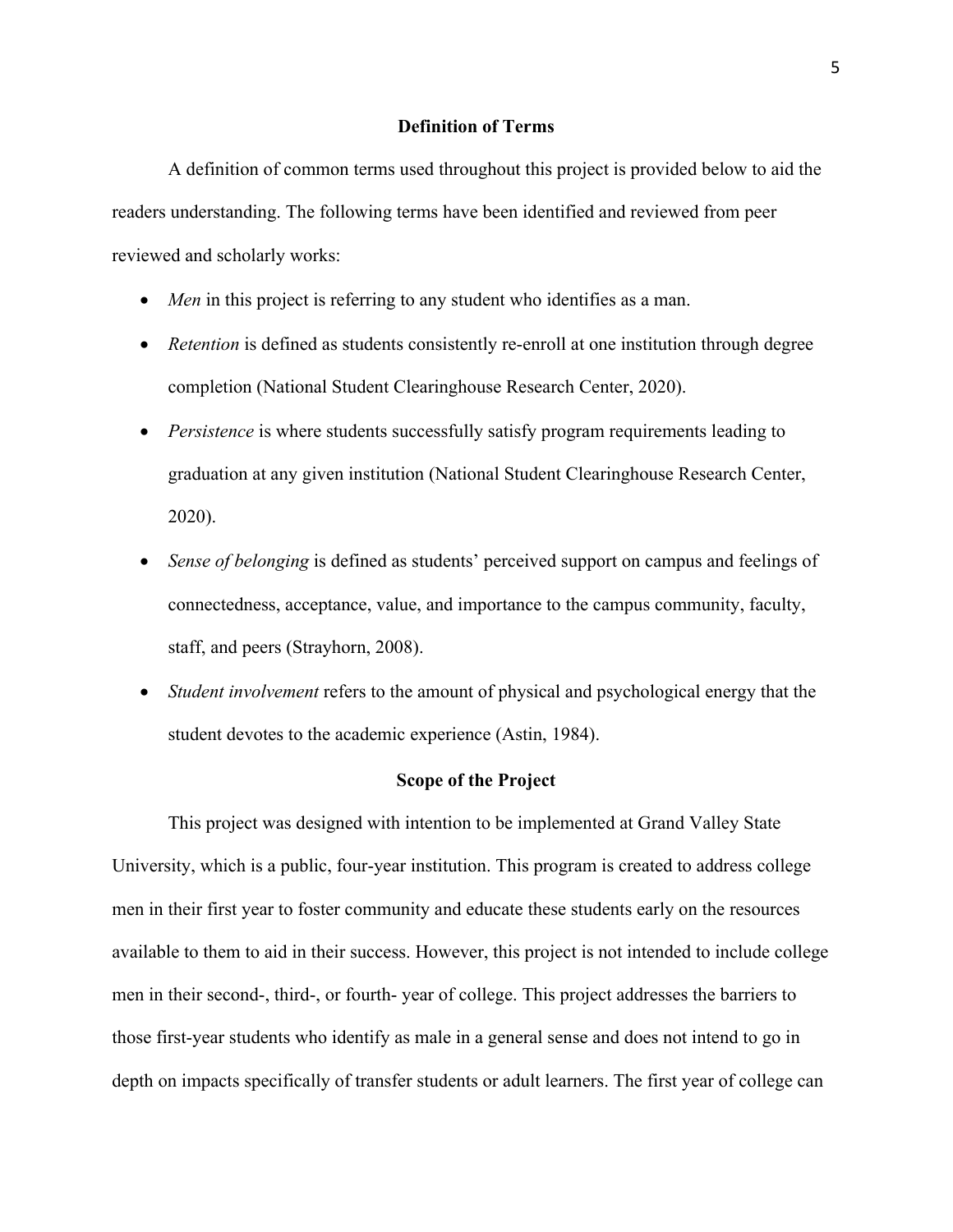### **Definition of Terms**

A definition of common terms used throughout this project is provided below to aid the readers understanding. The following terms have been identified and reviewed from peer reviewed and scholarly works:

- *Men* in this project is referring to any student who identifies as a man.
- *Retention* is defined as students consistently re-enroll at one institution through degree completion (National Student Clearinghouse Research Center, 2020).
- *Persistence* is where students successfully satisfy program requirements leading to graduation at any given institution (National Student Clearinghouse Research Center, 2020).
- *Sense of belonging* is defined as students' perceived support on campus and feelings of connectedness, acceptance, value, and importance to the campus community, faculty, staff, and peers (Strayhorn, 2008).
- *Student involvement* refers to the amount of physical and psychological energy that the student devotes to the academic experience (Astin, 1984).

## **Scope of the Project**

This project was designed with intention to be implemented at Grand Valley State University, which is a public, four-year institution. This program is created to address college men in their first year to foster community and educate these students early on the resources available to them to aid in their success. However, this project is not intended to include college men in their second-, third-, or fourth- year of college. This project addresses the barriers to those first-year students who identify as male in a general sense and does not intend to go in depth on impacts specifically of transfer students or adult learners. The first year of college can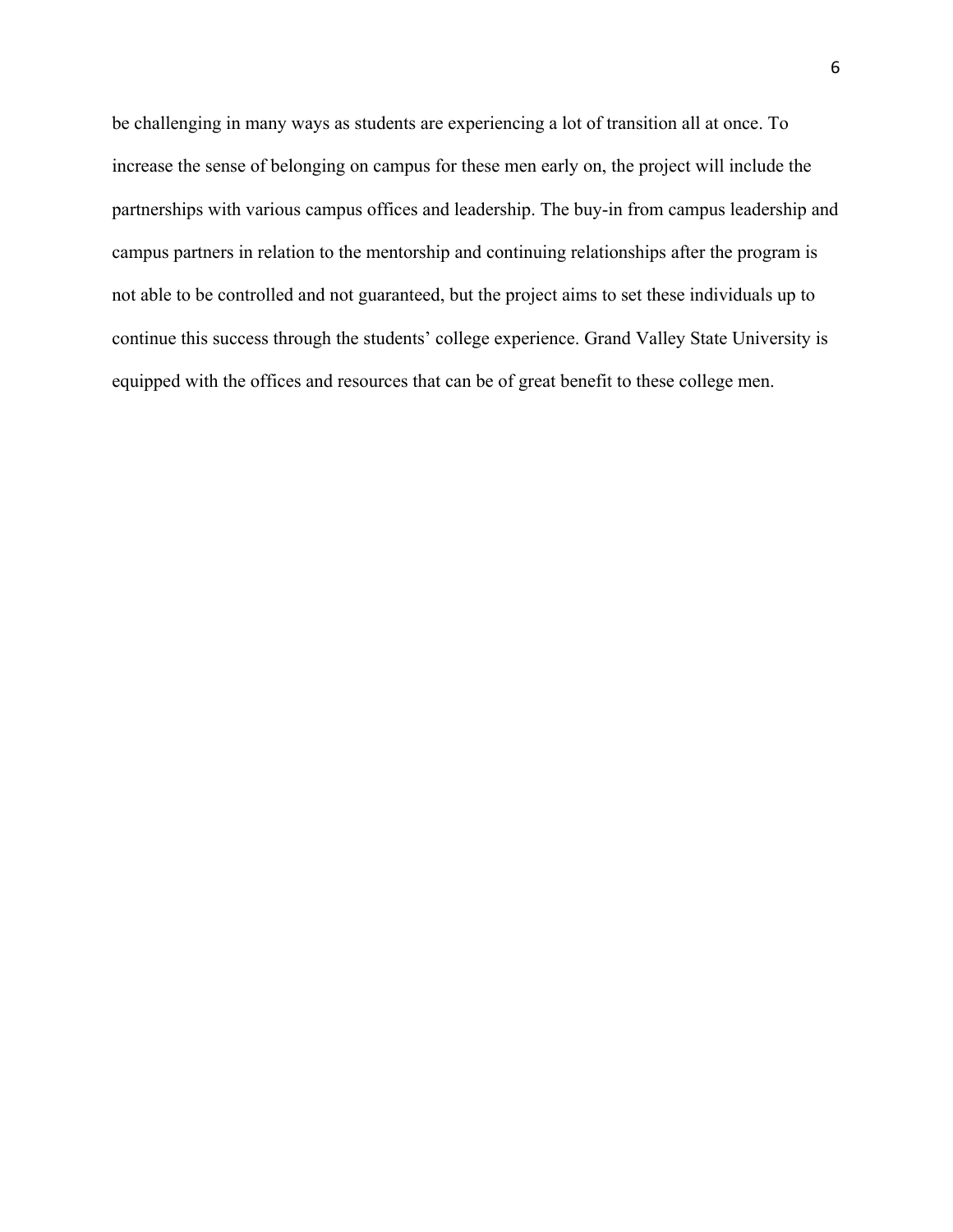be challenging in many ways as students are experiencing a lot of transition all at once. To increase the sense of belonging on campus for these men early on, the project will include the partnerships with various campus offices and leadership. The buy-in from campus leadership and campus partners in relation to the mentorship and continuing relationships after the program is not able to be controlled and not guaranteed, but the project aims to set these individuals up to continue this success through the students' college experience. Grand Valley State University is equipped with the offices and resources that can be of great benefit to these college men.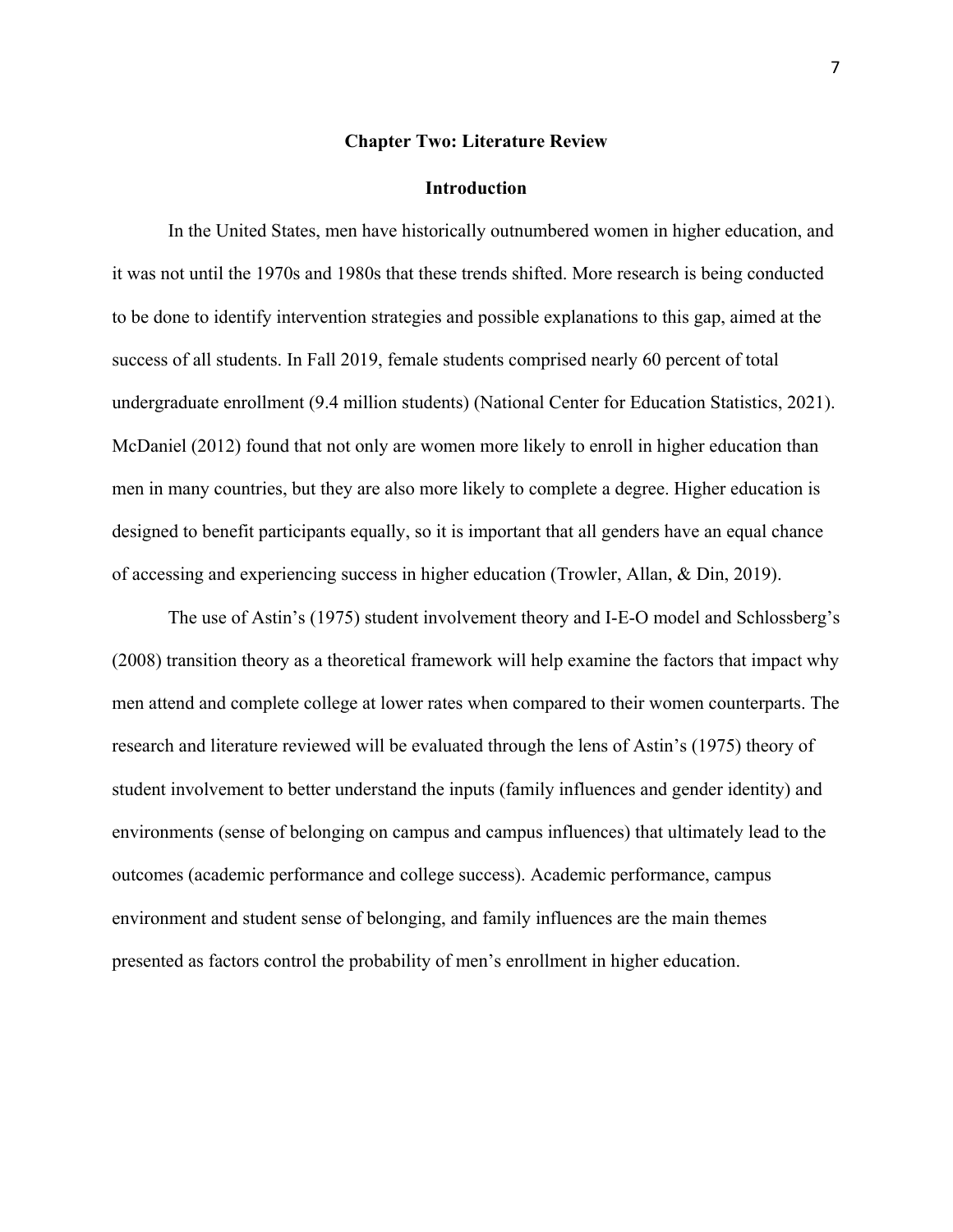#### **Chapter Two: Literature Review**

#### **Introduction**

In the United States, men have historically outnumbered women in higher education, and it was not until the 1970s and 1980s that these trends shifted. More research is being conducted to be done to identify intervention strategies and possible explanations to this gap, aimed at the success of all students. In Fall 2019, female students comprised nearly 60 percent of total undergraduate enrollment (9.4 million students) (National Center for Education Statistics, 2021). McDaniel (2012) found that not only are women more likely to enroll in higher education than men in many countries, but they are also more likely to complete a degree. Higher education is designed to benefit participants equally, so it is important that all genders have an equal chance of accessing and experiencing success in higher education (Trowler, Allan, & Din, 2019).

The use of Astin's (1975) student involvement theory and I-E-O model and Schlossberg's (2008) transition theory as a theoretical framework will help examine the factors that impact why men attend and complete college at lower rates when compared to their women counterparts. The research and literature reviewed will be evaluated through the lens of Astin's (1975) theory of student involvement to better understand the inputs (family influences and gender identity) and environments (sense of belonging on campus and campus influences) that ultimately lead to the outcomes (academic performance and college success). Academic performance, campus environment and student sense of belonging, and family influences are the main themes presented as factors control the probability of men's enrollment in higher education.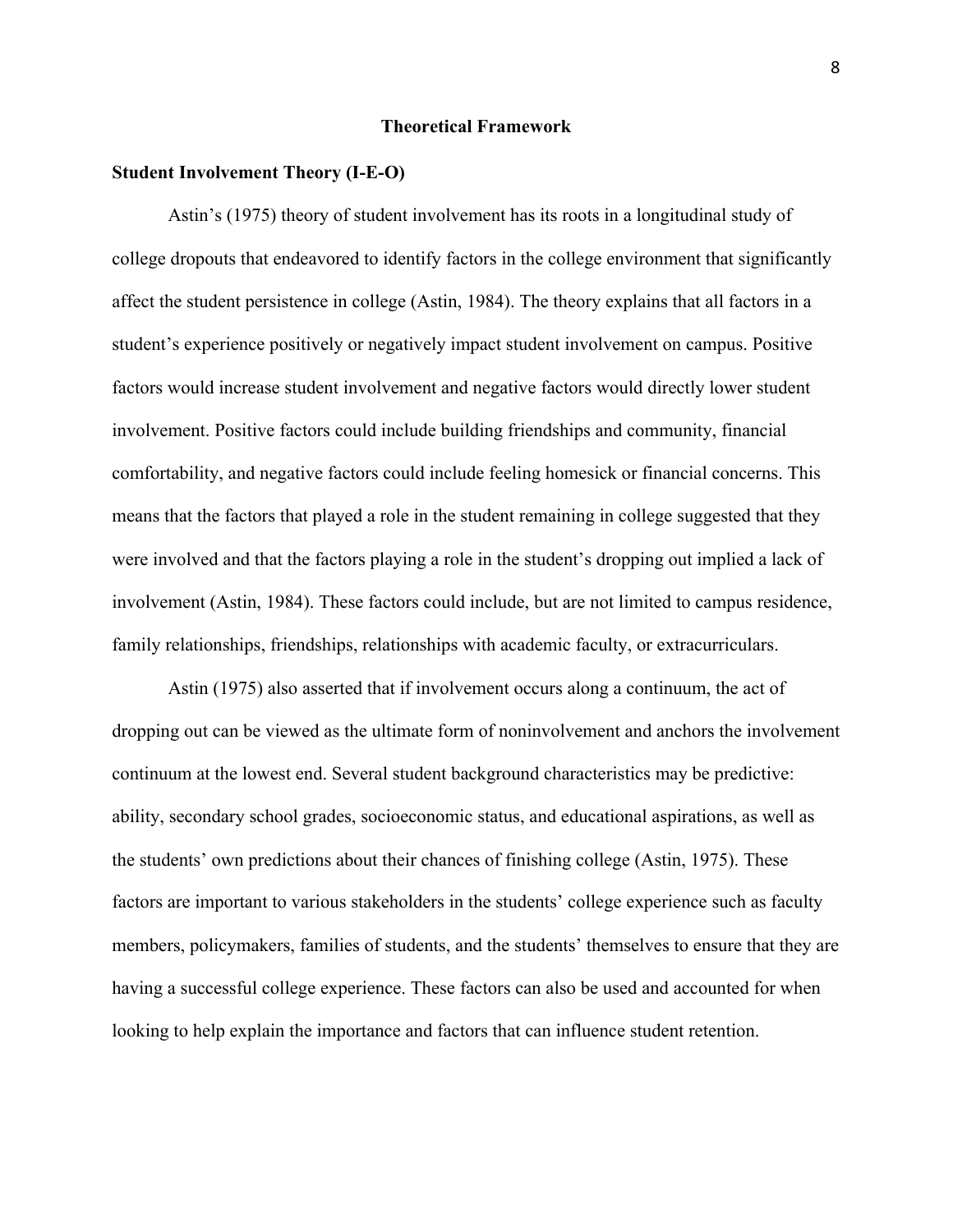## **Theoretical Framework**

#### **Student Involvement Theory (I-E-O)**

Astin's (1975) theory of student involvement has its roots in a longitudinal study of college dropouts that endeavored to identify factors in the college environment that significantly affect the student persistence in college (Astin, 1984). The theory explains that all factors in a student's experience positively or negatively impact student involvement on campus. Positive factors would increase student involvement and negative factors would directly lower student involvement. Positive factors could include building friendships and community, financial comfortability, and negative factors could include feeling homesick or financial concerns. This means that the factors that played a role in the student remaining in college suggested that they were involved and that the factors playing a role in the student's dropping out implied a lack of involvement (Astin, 1984). These factors could include, but are not limited to campus residence, family relationships, friendships, relationships with academic faculty, or extracurriculars.

Astin (1975) also asserted that if involvement occurs along a continuum, the act of dropping out can be viewed as the ultimate form of noninvolvement and anchors the involvement continuum at the lowest end. Several student background characteristics may be predictive: ability, secondary school grades, socioeconomic status, and educational aspirations, as well as the students' own predictions about their chances of finishing college (Astin, 1975). These factors are important to various stakeholders in the students' college experience such as faculty members, policymakers, families of students, and the students' themselves to ensure that they are having a successful college experience. These factors can also be used and accounted for when looking to help explain the importance and factors that can influence student retention.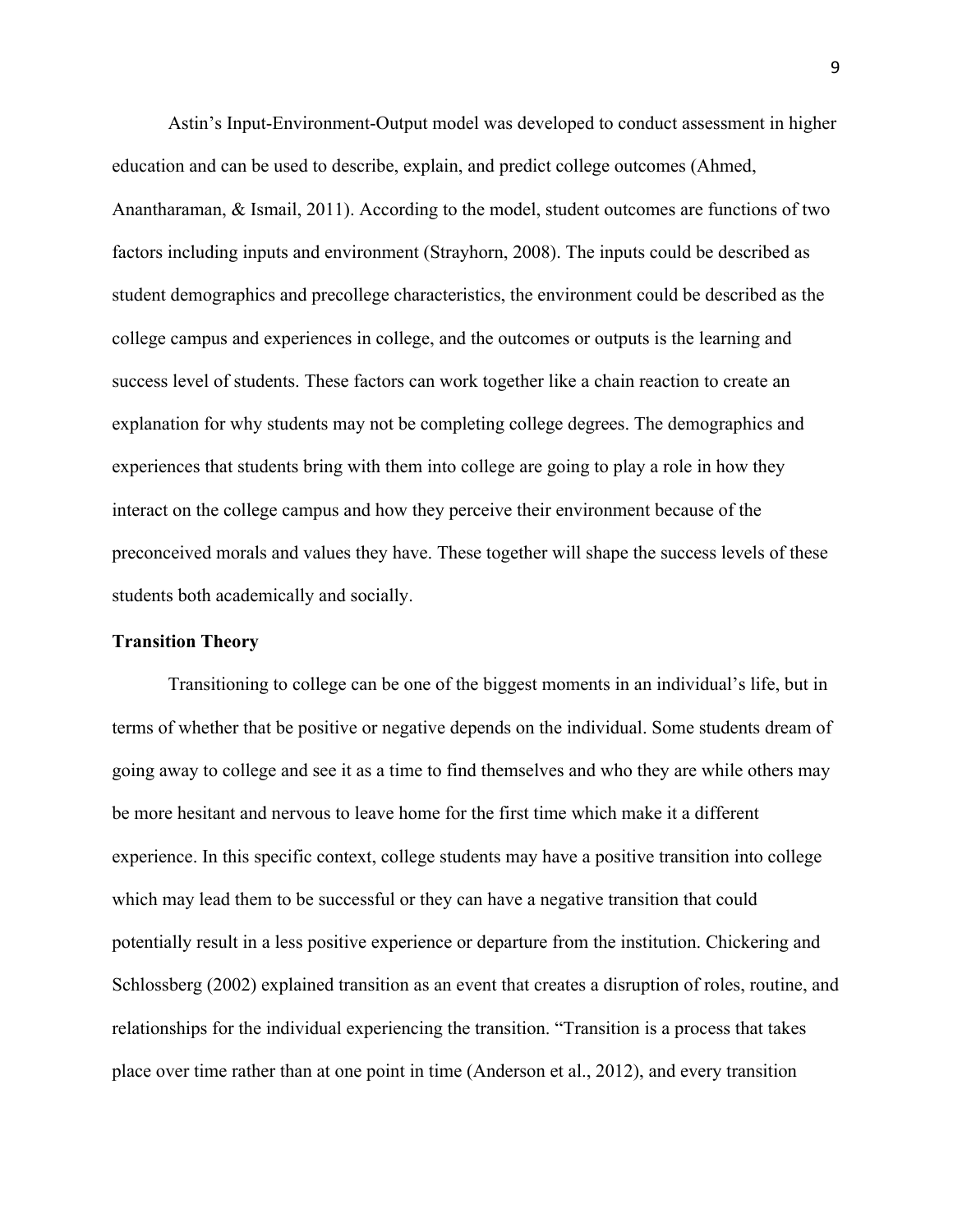Astin's Input-Environment-Output model was developed to conduct assessment in higher education and can be used to describe, explain, and predict college outcomes (Ahmed, Anantharaman, & Ismail, 2011). According to the model, student outcomes are functions of two factors including inputs and environment (Strayhorn, 2008). The inputs could be described as student demographics and precollege characteristics, the environment could be described as the college campus and experiences in college, and the outcomes or outputs is the learning and success level of students. These factors can work together like a chain reaction to create an explanation for why students may not be completing college degrees. The demographics and experiences that students bring with them into college are going to play a role in how they interact on the college campus and how they perceive their environment because of the preconceived morals and values they have. These together will shape the success levels of these students both academically and socially.

## **Transition Theory**

Transitioning to college can be one of the biggest moments in an individual's life, but in terms of whether that be positive or negative depends on the individual. Some students dream of going away to college and see it as a time to find themselves and who they are while others may be more hesitant and nervous to leave home for the first time which make it a different experience. In this specific context, college students may have a positive transition into college which may lead them to be successful or they can have a negative transition that could potentially result in a less positive experience or departure from the institution. Chickering and Schlossberg (2002) explained transition as an event that creates a disruption of roles, routine, and relationships for the individual experiencing the transition. "Transition is a process that takes place over time rather than at one point in time (Anderson et al., 2012), and every transition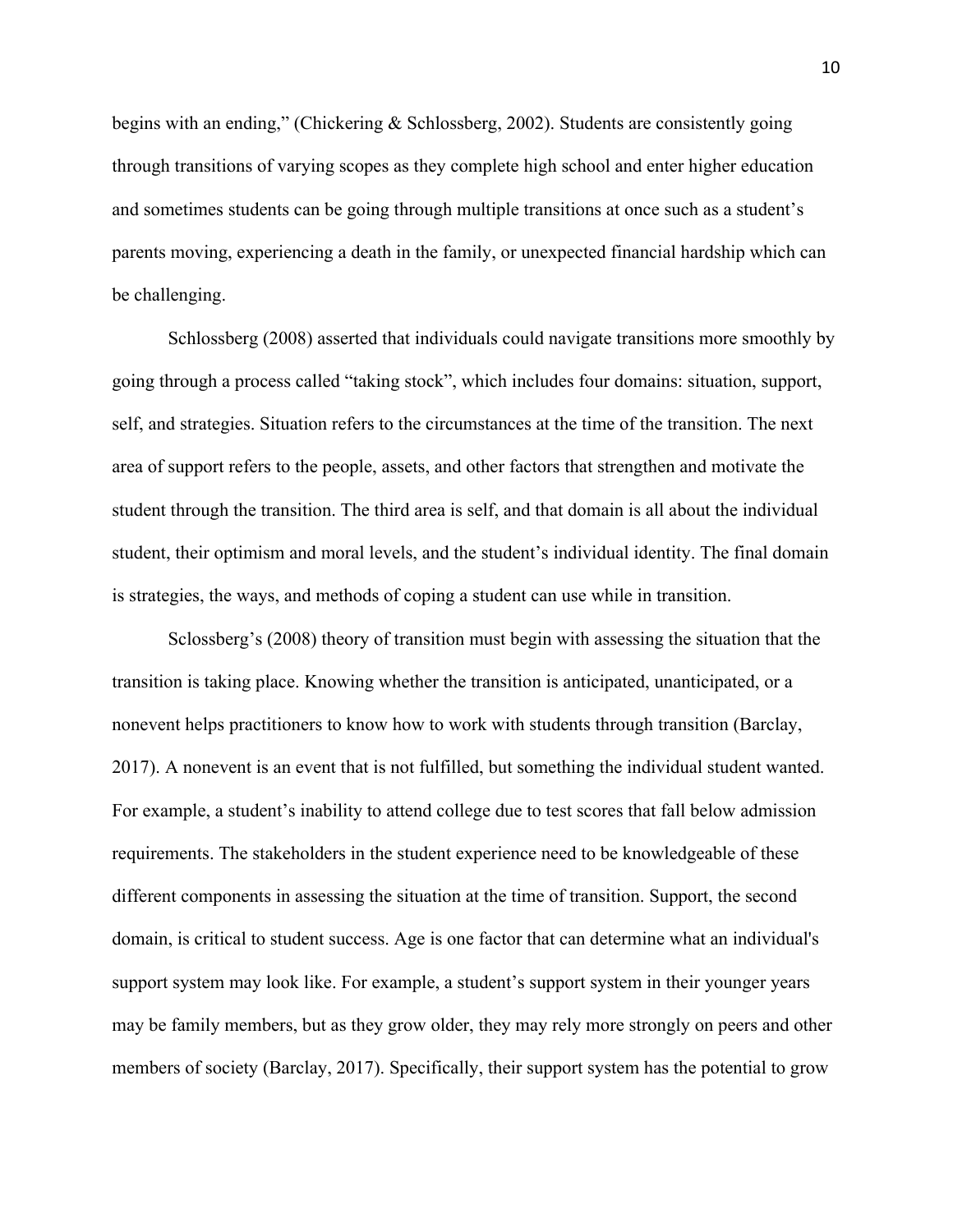begins with an ending," (Chickering & Schlossberg, 2002). Students are consistently going through transitions of varying scopes as they complete high school and enter higher education and sometimes students can be going through multiple transitions at once such as a student's parents moving, experiencing a death in the family, or unexpected financial hardship which can be challenging.

Schlossberg (2008) asserted that individuals could navigate transitions more smoothly by going through a process called "taking stock", which includes four domains: situation, support, self, and strategies. Situation refers to the circumstances at the time of the transition. The next area of support refers to the people, assets, and other factors that strengthen and motivate the student through the transition. The third area is self, and that domain is all about the individual student, their optimism and moral levels, and the student's individual identity. The final domain is strategies, the ways, and methods of coping a student can use while in transition.

Sclossberg's (2008) theory of transition must begin with assessing the situation that the transition is taking place. Knowing whether the transition is anticipated, unanticipated, or a nonevent helps practitioners to know how to work with students through transition (Barclay, 2017). A nonevent is an event that is not fulfilled, but something the individual student wanted. For example, a student's inability to attend college due to test scores that fall below admission requirements. The stakeholders in the student experience need to be knowledgeable of these different components in assessing the situation at the time of transition. Support, the second domain, is critical to student success. Age is one factor that can determine what an individual's support system may look like. For example, a student's support system in their younger years may be family members, but as they grow older, they may rely more strongly on peers and other members of society (Barclay, 2017). Specifically, their support system has the potential to grow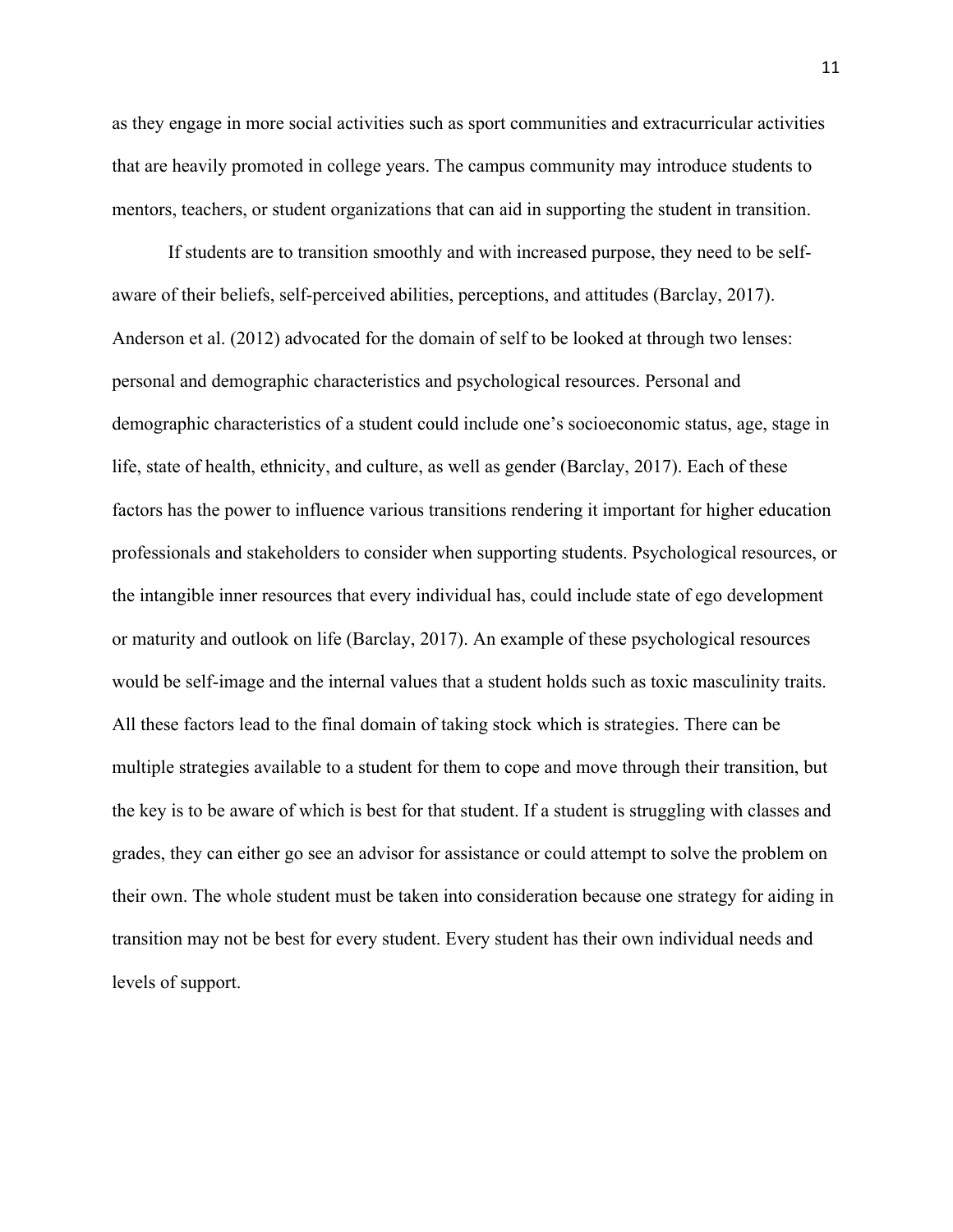as they engage in more social activities such as sport communities and extracurricular activities that are heavily promoted in college years. The campus community may introduce students to mentors, teachers, or student organizations that can aid in supporting the student in transition.

If students are to transition smoothly and with increased purpose, they need to be selfaware of their beliefs, self-perceived abilities, perceptions, and attitudes (Barclay, 2017). Anderson et al. (2012) advocated for the domain of self to be looked at through two lenses: personal and demographic characteristics and psychological resources. Personal and demographic characteristics of a student could include one's socioeconomic status, age, stage in life, state of health, ethnicity, and culture, as well as gender (Barclay, 2017). Each of these factors has the power to influence various transitions rendering it important for higher education professionals and stakeholders to consider when supporting students. Psychological resources, or the intangible inner resources that every individual has, could include state of ego development or maturity and outlook on life (Barclay, 2017). An example of these psychological resources would be self-image and the internal values that a student holds such as toxic masculinity traits. All these factors lead to the final domain of taking stock which is strategies. There can be multiple strategies available to a student for them to cope and move through their transition, but the key is to be aware of which is best for that student. If a student is struggling with classes and grades, they can either go see an advisor for assistance or could attempt to solve the problem on their own. The whole student must be taken into consideration because one strategy for aiding in transition may not be best for every student. Every student has their own individual needs and levels of support.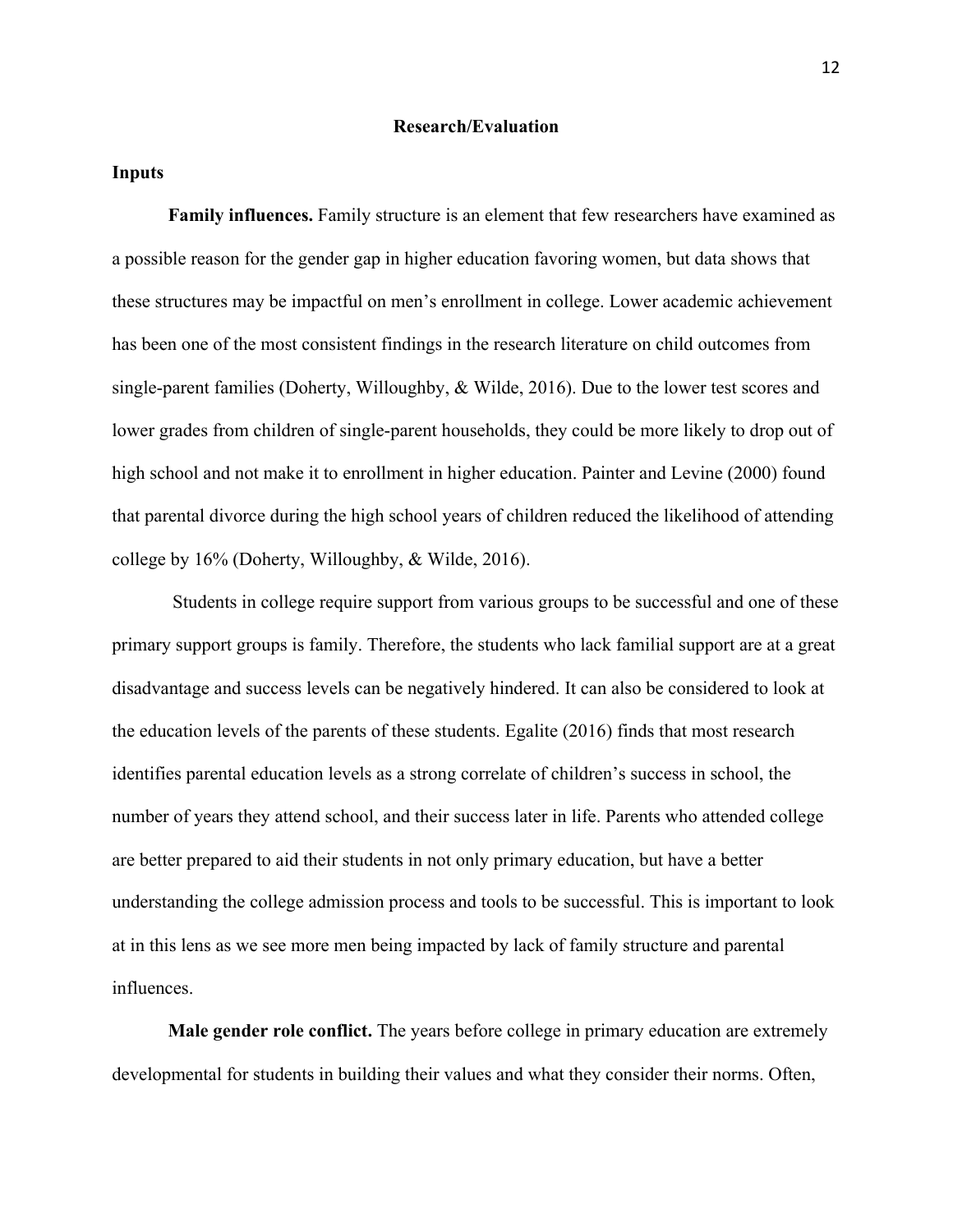### **Research/Evaluation**

### **Inputs**

**Family influences.** Family structure is an element that few researchers have examined as a possible reason for the gender gap in higher education favoring women, but data shows that these structures may be impactful on men's enrollment in college. Lower academic achievement has been one of the most consistent findings in the research literature on child outcomes from single-parent families (Doherty, Willoughby, & Wilde, 2016). Due to the lower test scores and lower grades from children of single-parent households, they could be more likely to drop out of high school and not make it to enrollment in higher education. Painter and Levine (2000) found that parental divorce during the high school years of children reduced the likelihood of attending college by 16% (Doherty, Willoughby, & Wilde, 2016).

Students in college require support from various groups to be successful and one of these primary support groups is family. Therefore, the students who lack familial support are at a great disadvantage and success levels can be negatively hindered. It can also be considered to look at the education levels of the parents of these students. Egalite (2016) finds that most research identifies parental education levels as a strong correlate of children's success in school, the number of years they attend school, and their success later in life. Parents who attended college are better prepared to aid their students in not only primary education, but have a better understanding the college admission process and tools to be successful. This is important to look at in this lens as we see more men being impacted by lack of family structure and parental influences.

**Male gender role conflict.** The years before college in primary education are extremely developmental for students in building their values and what they consider their norms. Often,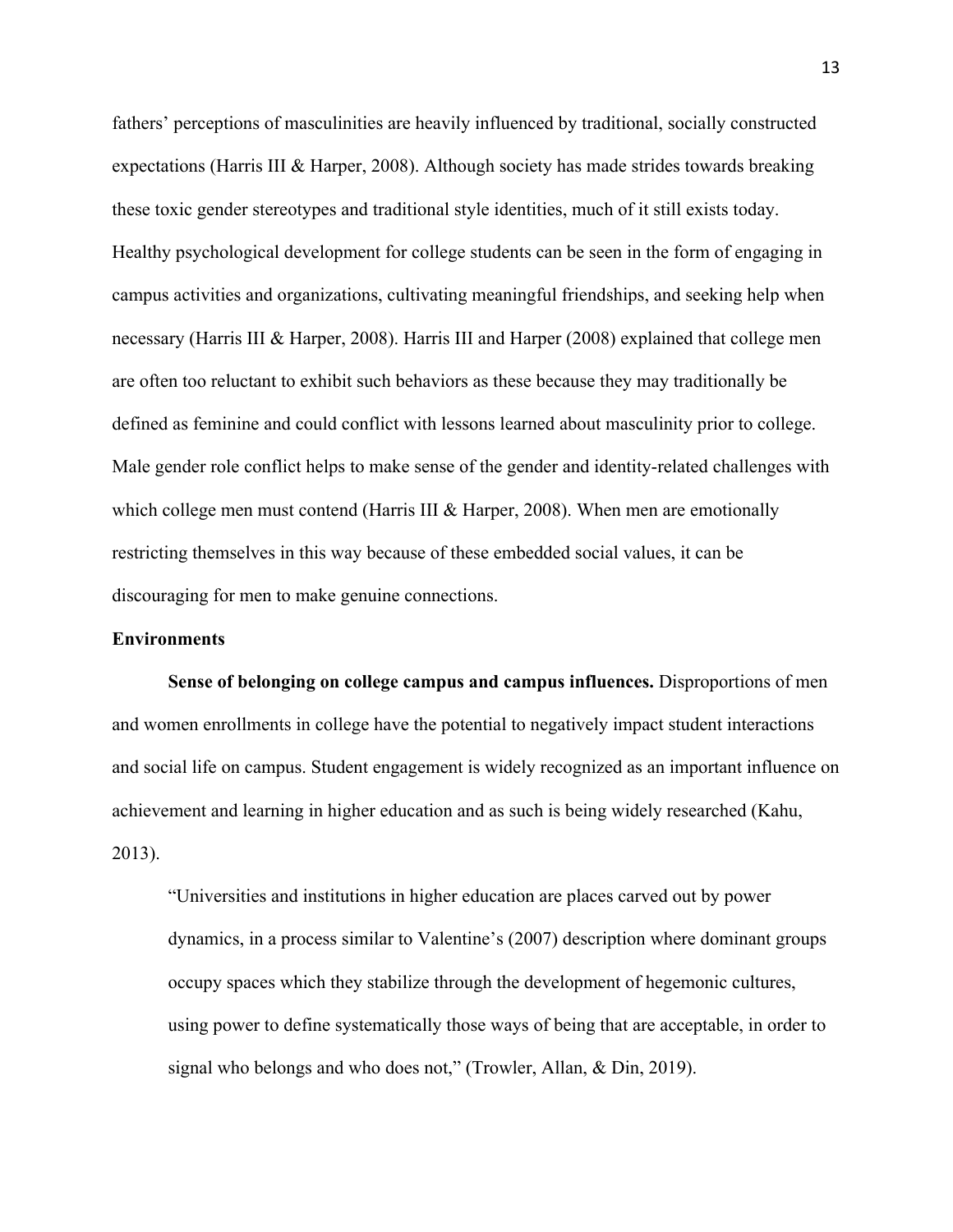fathers' perceptions of masculinities are heavily influenced by traditional, socially constructed expectations (Harris III & Harper, 2008). Although society has made strides towards breaking these toxic gender stereotypes and traditional style identities, much of it still exists today. Healthy psychological development for college students can be seen in the form of engaging in campus activities and organizations, cultivating meaningful friendships, and seeking help when necessary (Harris III & Harper, 2008). Harris III and Harper (2008) explained that college men are often too reluctant to exhibit such behaviors as these because they may traditionally be defined as feminine and could conflict with lessons learned about masculinity prior to college. Male gender role conflict helps to make sense of the gender and identity-related challenges with which college men must contend (Harris III  $&$  Harper, 2008). When men are emotionally restricting themselves in this way because of these embedded social values, it can be discouraging for men to make genuine connections.

## **Environments**

**Sense of belonging on college campus and campus influences.** Disproportions of men and women enrollments in college have the potential to negatively impact student interactions and social life on campus. Student engagement is widely recognized as an important influence on achievement and learning in higher education and as such is being widely researched (Kahu, 2013).

"Universities and institutions in higher education are places carved out by power dynamics, in a process similar to Valentine's (2007) description where dominant groups occupy spaces which they stabilize through the development of hegemonic cultures, using power to define systematically those ways of being that are acceptable, in order to signal who belongs and who does not," (Trowler, Allan, & Din, 2019).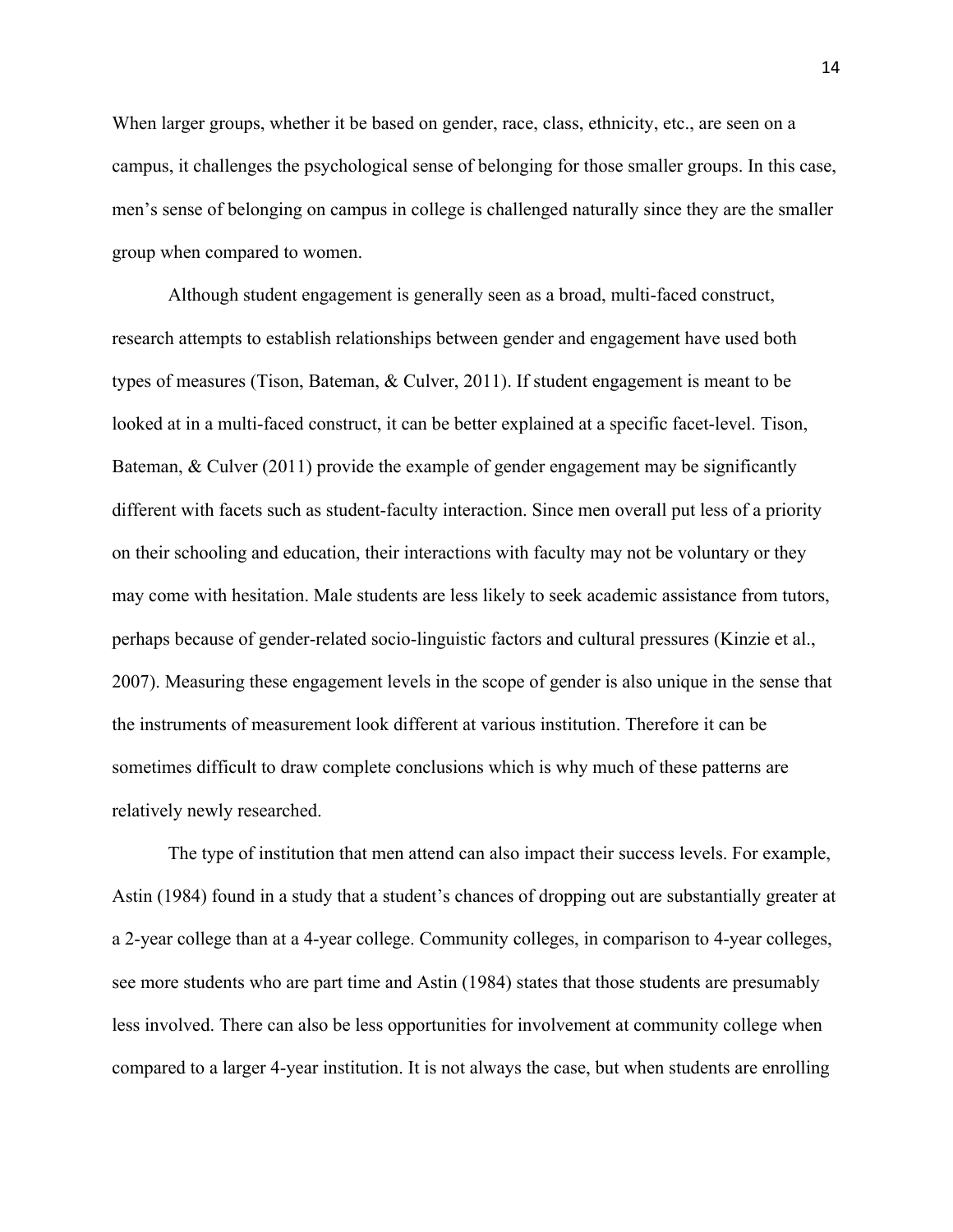When larger groups, whether it be based on gender, race, class, ethnicity, etc., are seen on a campus, it challenges the psychological sense of belonging for those smaller groups. In this case, men's sense of belonging on campus in college is challenged naturally since they are the smaller group when compared to women.

Although student engagement is generally seen as a broad, multi-faced construct, research attempts to establish relationships between gender and engagement have used both types of measures (Tison, Bateman, & Culver, 2011). If student engagement is meant to be looked at in a multi-faced construct, it can be better explained at a specific facet-level. Tison, Bateman, & Culver (2011) provide the example of gender engagement may be significantly different with facets such as student-faculty interaction. Since men overall put less of a priority on their schooling and education, their interactions with faculty may not be voluntary or they may come with hesitation. Male students are less likely to seek academic assistance from tutors, perhaps because of gender-related socio-linguistic factors and cultural pressures (Kinzie et al., 2007). Measuring these engagement levels in the scope of gender is also unique in the sense that the instruments of measurement look different at various institution. Therefore it can be sometimes difficult to draw complete conclusions which is why much of these patterns are relatively newly researched.

The type of institution that men attend can also impact their success levels. For example, Astin (1984) found in a study that a student's chances of dropping out are substantially greater at a 2-year college than at a 4-year college. Community colleges, in comparison to 4-year colleges, see more students who are part time and Astin (1984) states that those students are presumably less involved. There can also be less opportunities for involvement at community college when compared to a larger 4-year institution. It is not always the case, but when students are enrolling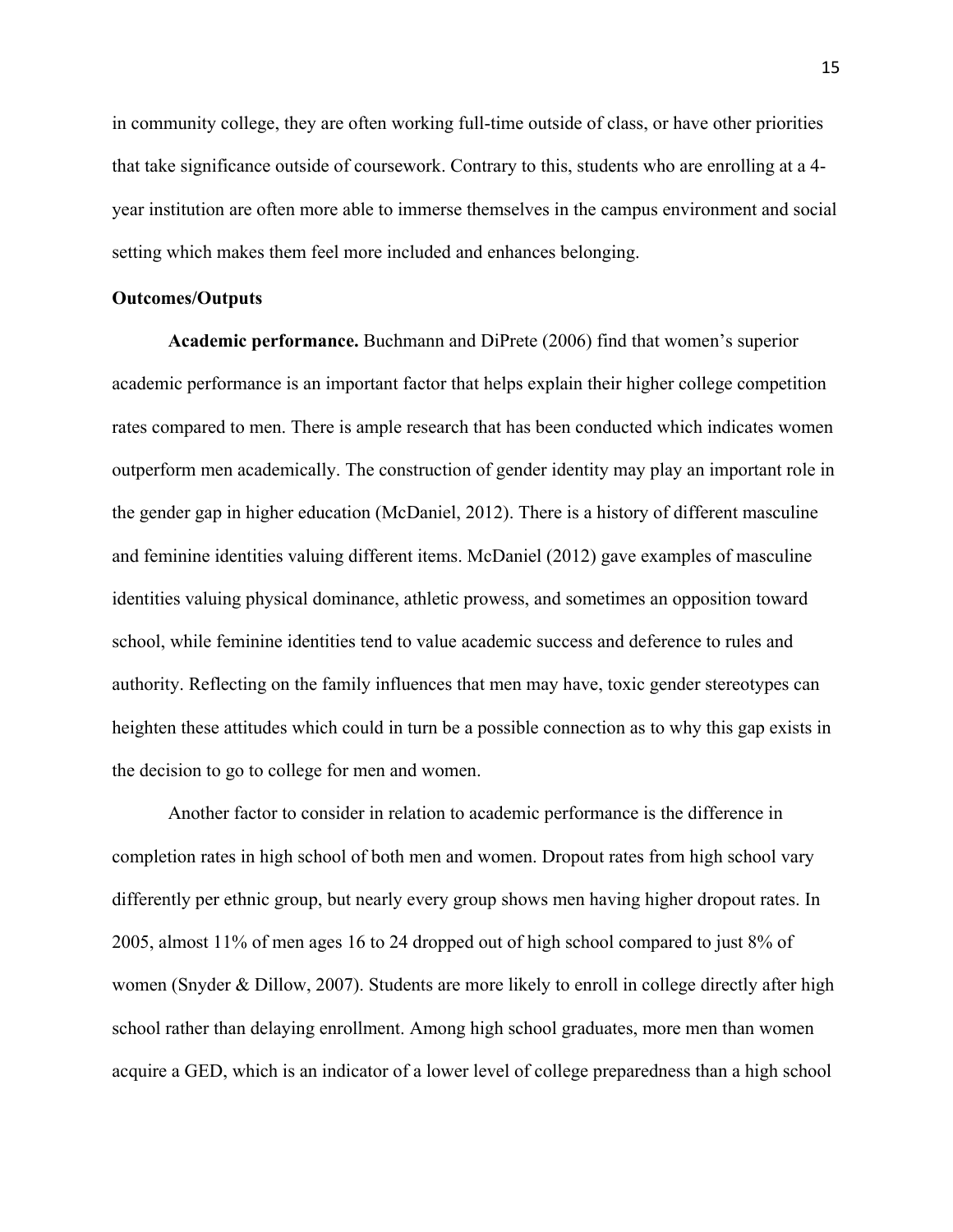in community college, they are often working full-time outside of class, or have other priorities that take significance outside of coursework. Contrary to this, students who are enrolling at a 4 year institution are often more able to immerse themselves in the campus environment and social setting which makes them feel more included and enhances belonging.

## **Outcomes/Outputs**

**Academic performance.** Buchmann and DiPrete (2006) find that women's superior academic performance is an important factor that helps explain their higher college competition rates compared to men. There is ample research that has been conducted which indicates women outperform men academically. The construction of gender identity may play an important role in the gender gap in higher education (McDaniel, 2012). There is a history of different masculine and feminine identities valuing different items. McDaniel (2012) gave examples of masculine identities valuing physical dominance, athletic prowess, and sometimes an opposition toward school, while feminine identities tend to value academic success and deference to rules and authority. Reflecting on the family influences that men may have, toxic gender stereotypes can heighten these attitudes which could in turn be a possible connection as to why this gap exists in the decision to go to college for men and women.

Another factor to consider in relation to academic performance is the difference in completion rates in high school of both men and women. Dropout rates from high school vary differently per ethnic group, but nearly every group shows men having higher dropout rates. In 2005, almost 11% of men ages 16 to 24 dropped out of high school compared to just 8% of women (Snyder & Dillow, 2007). Students are more likely to enroll in college directly after high school rather than delaying enrollment. Among high school graduates, more men than women acquire a GED, which is an indicator of a lower level of college preparedness than a high school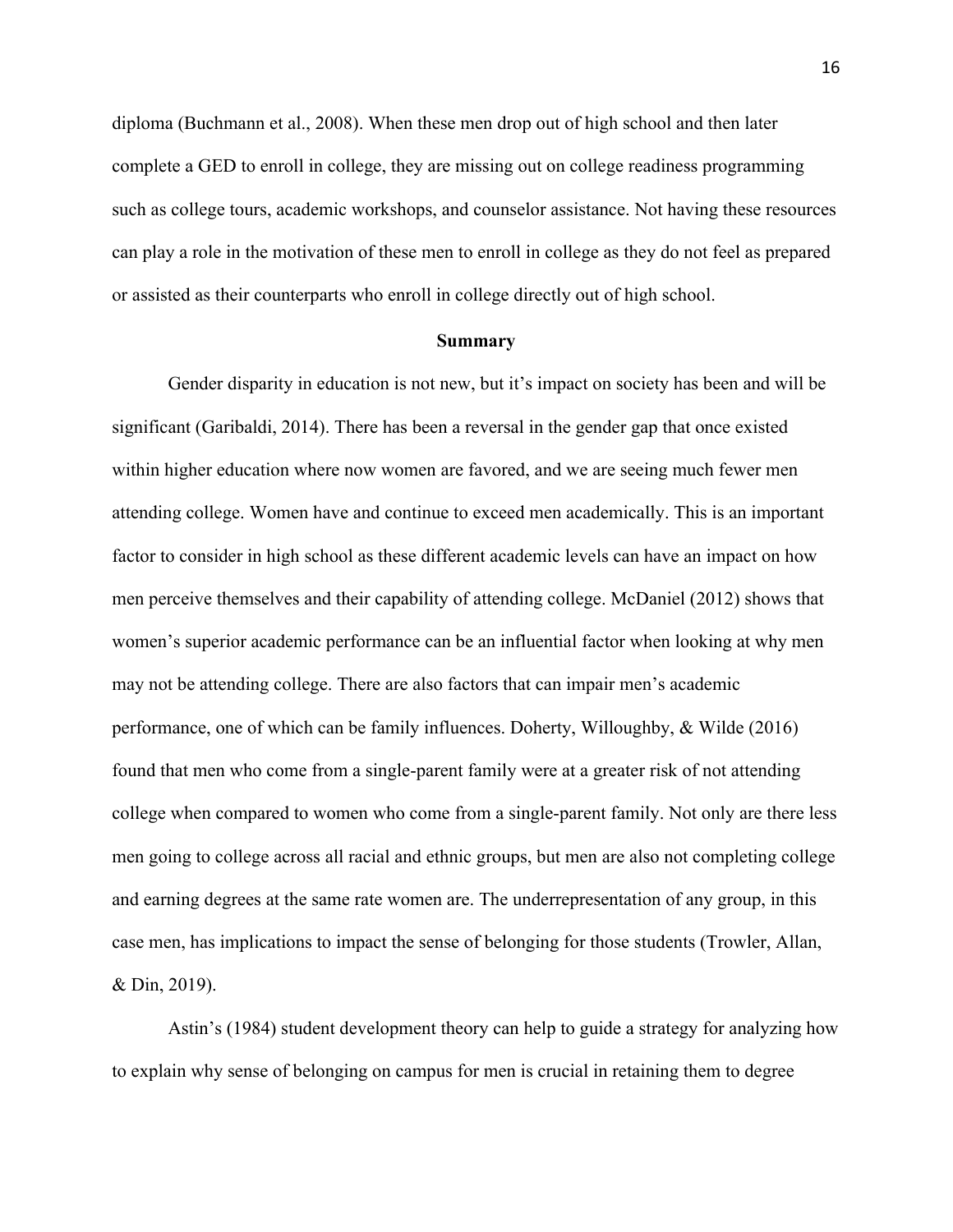diploma (Buchmann et al., 2008). When these men drop out of high school and then later complete a GED to enroll in college, they are missing out on college readiness programming such as college tours, academic workshops, and counselor assistance. Not having these resources can play a role in the motivation of these men to enroll in college as they do not feel as prepared or assisted as their counterparts who enroll in college directly out of high school.

#### **Summary**

Gender disparity in education is not new, but it's impact on society has been and will be significant (Garibaldi, 2014). There has been a reversal in the gender gap that once existed within higher education where now women are favored, and we are seeing much fewer men attending college. Women have and continue to exceed men academically. This is an important factor to consider in high school as these different academic levels can have an impact on how men perceive themselves and their capability of attending college. McDaniel (2012) shows that women's superior academic performance can be an influential factor when looking at why men may not be attending college. There are also factors that can impair men's academic performance, one of which can be family influences. Doherty, Willoughby, & Wilde (2016) found that men who come from a single-parent family were at a greater risk of not attending college when compared to women who come from a single-parent family. Not only are there less men going to college across all racial and ethnic groups, but men are also not completing college and earning degrees at the same rate women are. The underrepresentation of any group, in this case men, has implications to impact the sense of belonging for those students (Trowler, Allan, & Din, 2019).

Astin's (1984) student development theory can help to guide a strategy for analyzing how to explain why sense of belonging on campus for men is crucial in retaining them to degree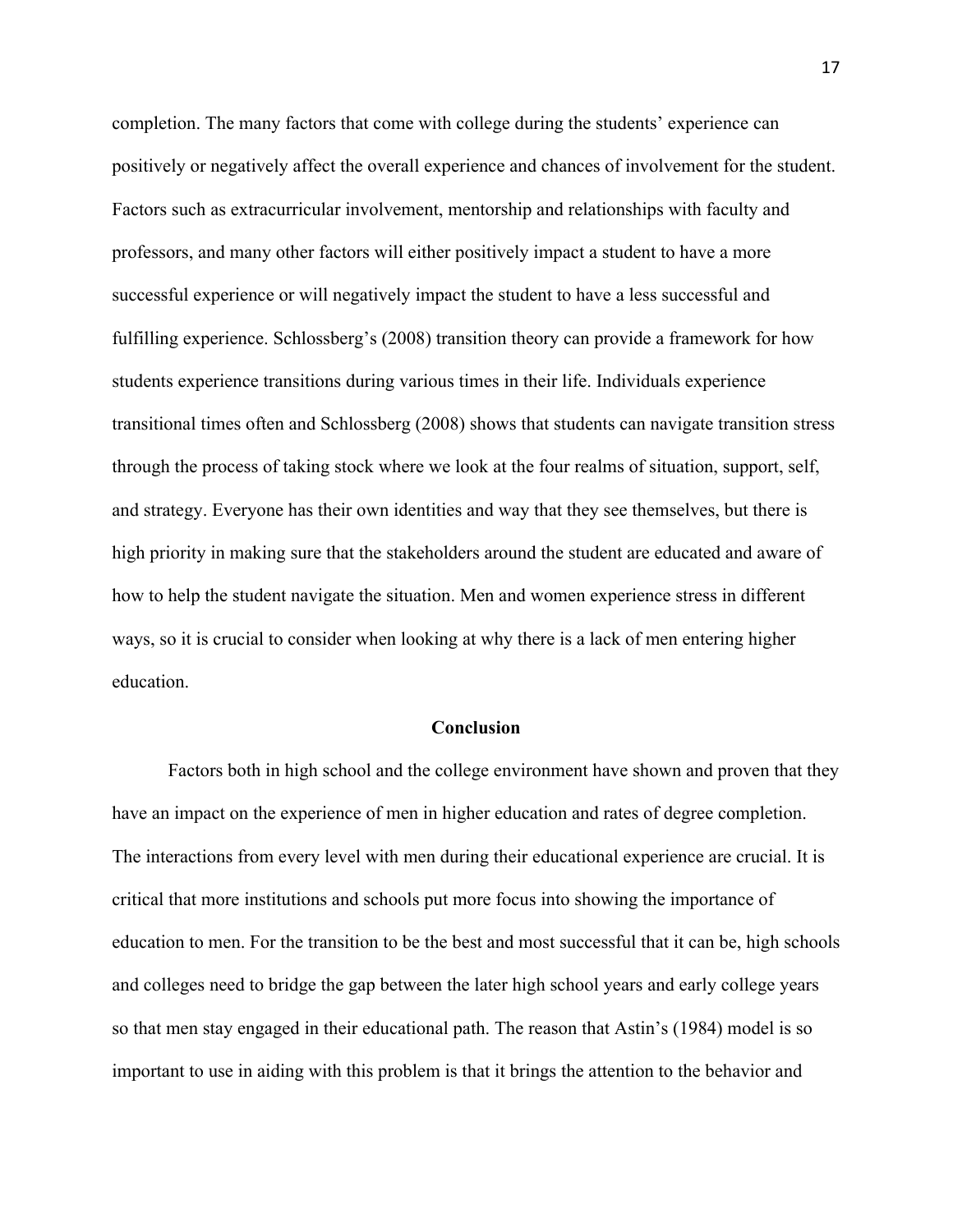completion. The many factors that come with college during the students' experience can positively or negatively affect the overall experience and chances of involvement for the student. Factors such as extracurricular involvement, mentorship and relationships with faculty and professors, and many other factors will either positively impact a student to have a more successful experience or will negatively impact the student to have a less successful and fulfilling experience. Schlossberg's (2008) transition theory can provide a framework for how students experience transitions during various times in their life. Individuals experience transitional times often and Schlossberg (2008) shows that students can navigate transition stress through the process of taking stock where we look at the four realms of situation, support, self, and strategy. Everyone has their own identities and way that they see themselves, but there is high priority in making sure that the stakeholders around the student are educated and aware of how to help the student navigate the situation. Men and women experience stress in different ways, so it is crucial to consider when looking at why there is a lack of men entering higher education.

## **Conclusion**

Factors both in high school and the college environment have shown and proven that they have an impact on the experience of men in higher education and rates of degree completion. The interactions from every level with men during their educational experience are crucial. It is critical that more institutions and schools put more focus into showing the importance of education to men. For the transition to be the best and most successful that it can be, high schools and colleges need to bridge the gap between the later high school years and early college years so that men stay engaged in their educational path. The reason that Astin's (1984) model is so important to use in aiding with this problem is that it brings the attention to the behavior and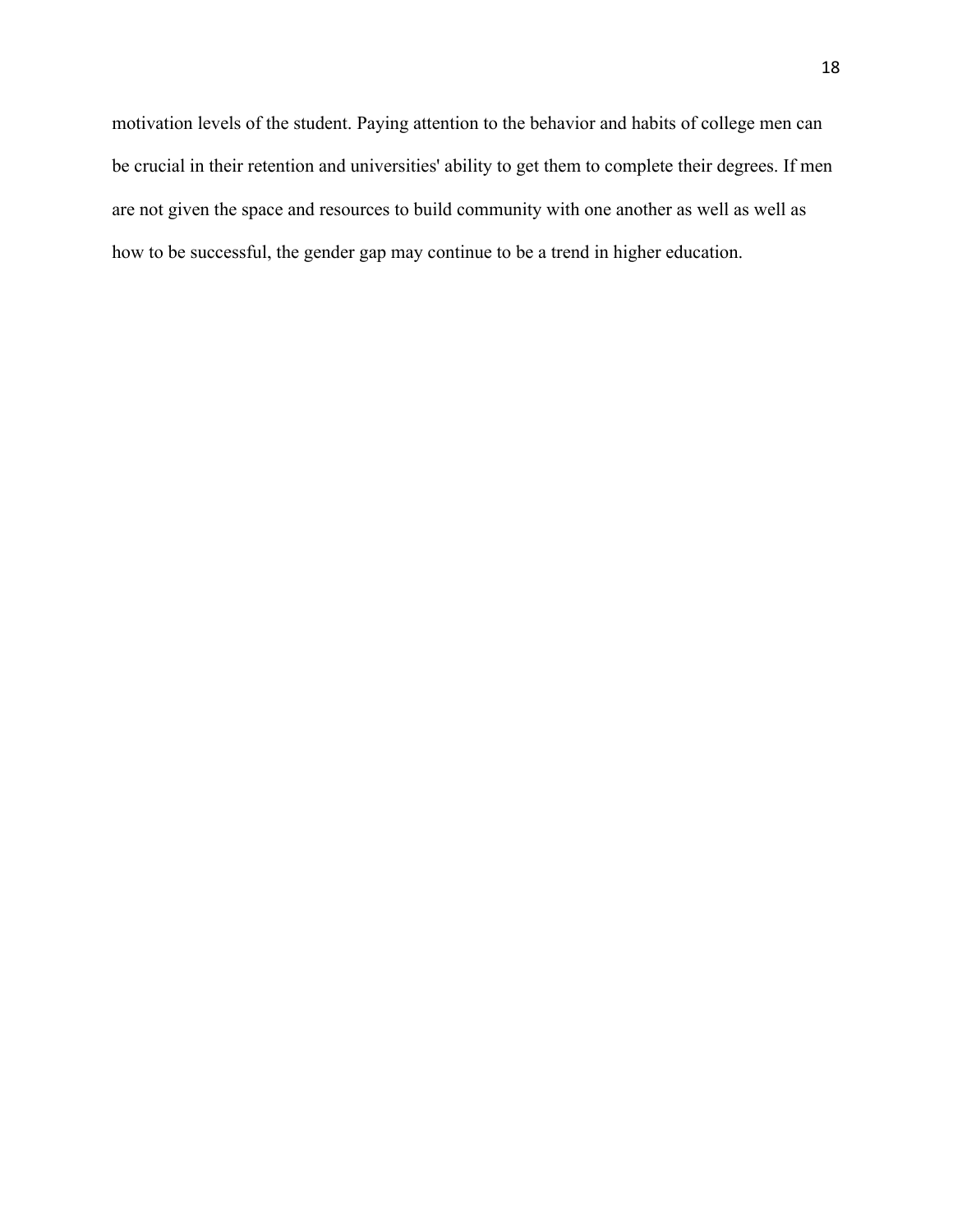motivation levels of the student. Paying attention to the behavior and habits of college men can be crucial in their retention and universities' ability to get them to complete their degrees. If men are not given the space and resources to build community with one another as well as well as how to be successful, the gender gap may continue to be a trend in higher education.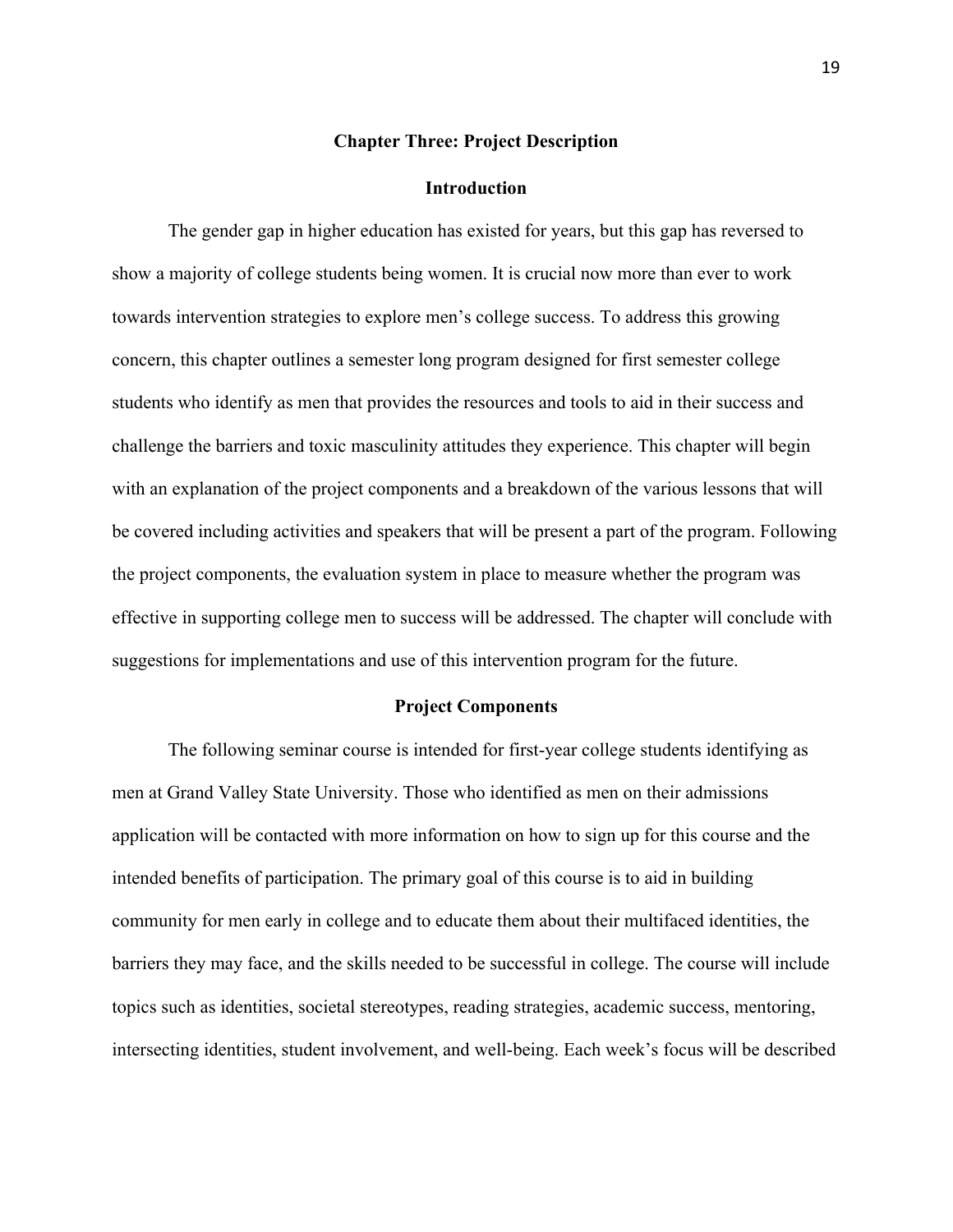#### **Chapter Three: Project Description**

#### **Introduction**

The gender gap in higher education has existed for years, but this gap has reversed to show a majority of college students being women. It is crucial now more than ever to work towards intervention strategies to explore men's college success. To address this growing concern, this chapter outlines a semester long program designed for first semester college students who identify as men that provides the resources and tools to aid in their success and challenge the barriers and toxic masculinity attitudes they experience. This chapter will begin with an explanation of the project components and a breakdown of the various lessons that will be covered including activities and speakers that will be present a part of the program. Following the project components, the evaluation system in place to measure whether the program was effective in supporting college men to success will be addressed. The chapter will conclude with suggestions for implementations and use of this intervention program for the future.

#### **Project Components**

The following seminar course is intended for first-year college students identifying as men at Grand Valley State University. Those who identified as men on their admissions application will be contacted with more information on how to sign up for this course and the intended benefits of participation. The primary goal of this course is to aid in building community for men early in college and to educate them about their multifaced identities, the barriers they may face, and the skills needed to be successful in college. The course will include topics such as identities, societal stereotypes, reading strategies, academic success, mentoring, intersecting identities, student involvement, and well-being. Each week's focus will be described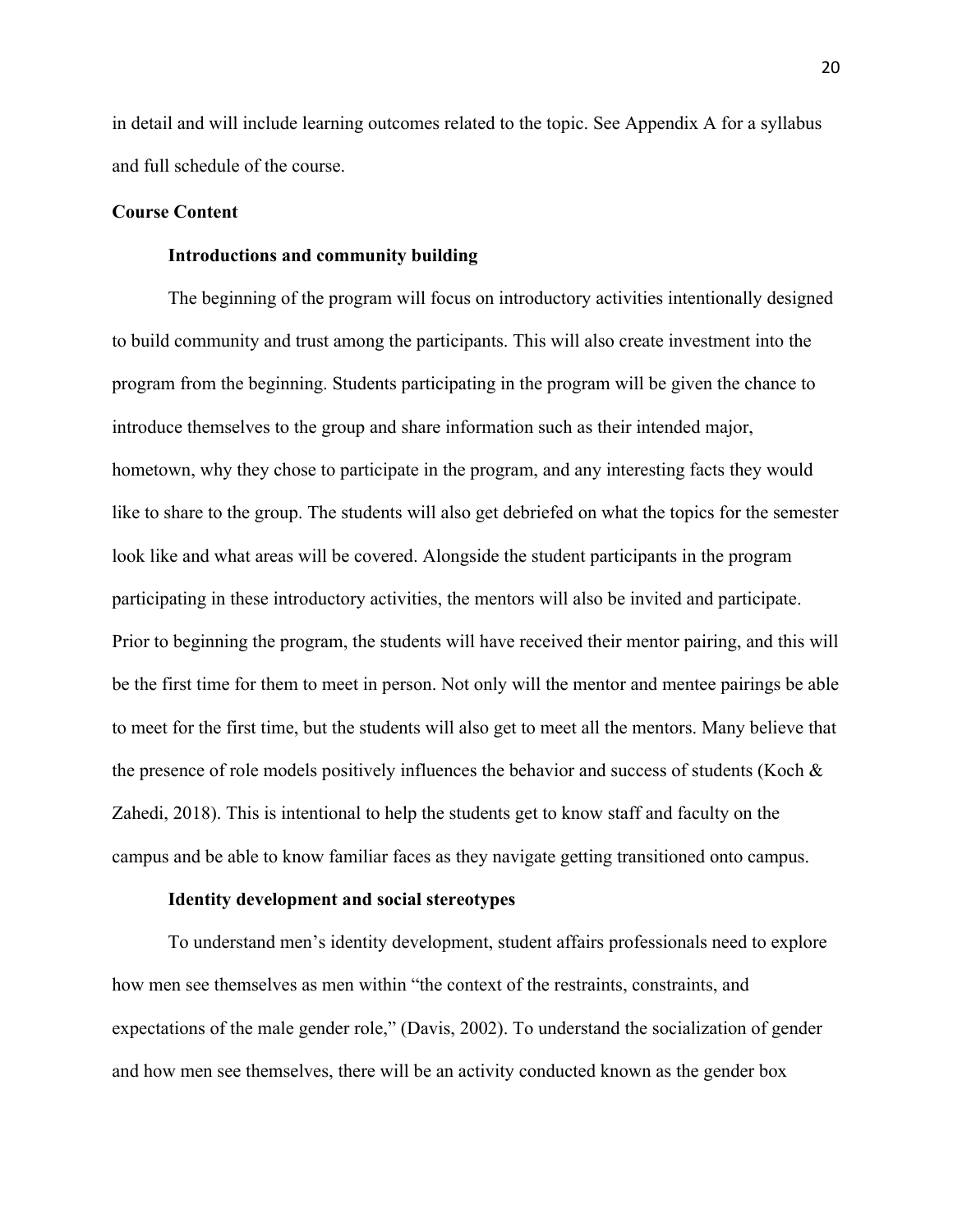in detail and will include learning outcomes related to the topic. See Appendix A for a syllabus and full schedule of the course.

## **Course Content**

## **Introductions and community building**

The beginning of the program will focus on introductory activities intentionally designed to build community and trust among the participants. This will also create investment into the program from the beginning. Students participating in the program will be given the chance to introduce themselves to the group and share information such as their intended major, hometown, why they chose to participate in the program, and any interesting facts they would like to share to the group. The students will also get debriefed on what the topics for the semester look like and what areas will be covered. Alongside the student participants in the program participating in these introductory activities, the mentors will also be invited and participate. Prior to beginning the program, the students will have received their mentor pairing, and this will be the first time for them to meet in person. Not only will the mentor and mentee pairings be able to meet for the first time, but the students will also get to meet all the mentors. Many believe that the presence of role models positively influences the behavior and success of students (Koch & Zahedi, 2018). This is intentional to help the students get to know staff and faculty on the campus and be able to know familiar faces as they navigate getting transitioned onto campus.

## **Identity development and social stereotypes**

To understand men's identity development, student affairs professionals need to explore how men see themselves as men within "the context of the restraints, constraints, and expectations of the male gender role," (Davis, 2002). To understand the socialization of gender and how men see themselves, there will be an activity conducted known as the gender box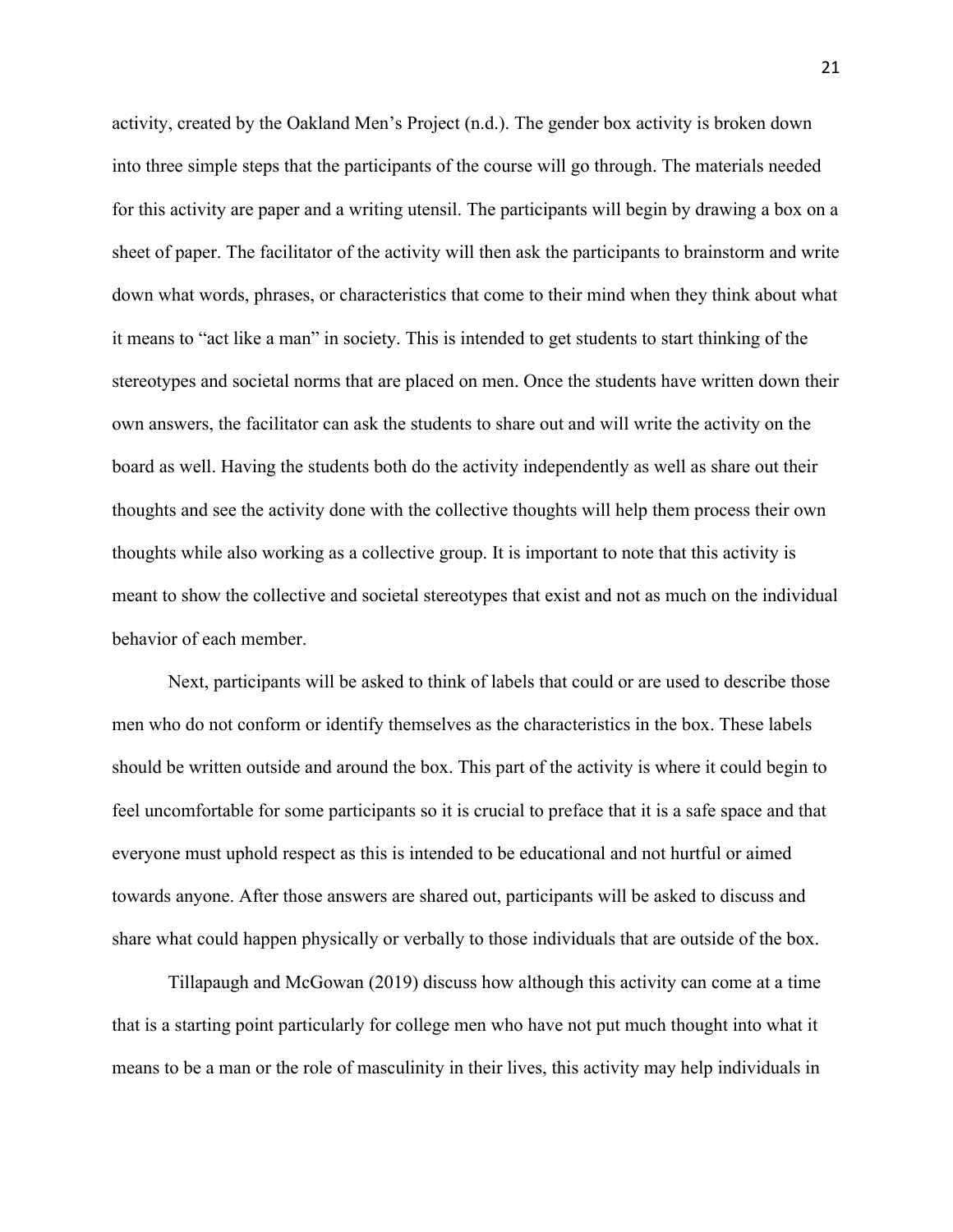activity, created by the Oakland Men's Project (n.d.). The gender box activity is broken down into three simple steps that the participants of the course will go through. The materials needed for this activity are paper and a writing utensil. The participants will begin by drawing a box on a sheet of paper. The facilitator of the activity will then ask the participants to brainstorm and write down what words, phrases, or characteristics that come to their mind when they think about what it means to "act like a man" in society. This is intended to get students to start thinking of the stereotypes and societal norms that are placed on men. Once the students have written down their own answers, the facilitator can ask the students to share out and will write the activity on the board as well. Having the students both do the activity independently as well as share out their thoughts and see the activity done with the collective thoughts will help them process their own thoughts while also working as a collective group. It is important to note that this activity is meant to show the collective and societal stereotypes that exist and not as much on the individual behavior of each member.

Next, participants will be asked to think of labels that could or are used to describe those men who do not conform or identify themselves as the characteristics in the box. These labels should be written outside and around the box. This part of the activity is where it could begin to feel uncomfortable for some participants so it is crucial to preface that it is a safe space and that everyone must uphold respect as this is intended to be educational and not hurtful or aimed towards anyone. After those answers are shared out, participants will be asked to discuss and share what could happen physically or verbally to those individuals that are outside of the box.

Tillapaugh and McGowan (2019) discuss how although this activity can come at a time that is a starting point particularly for college men who have not put much thought into what it means to be a man or the role of masculinity in their lives, this activity may help individuals in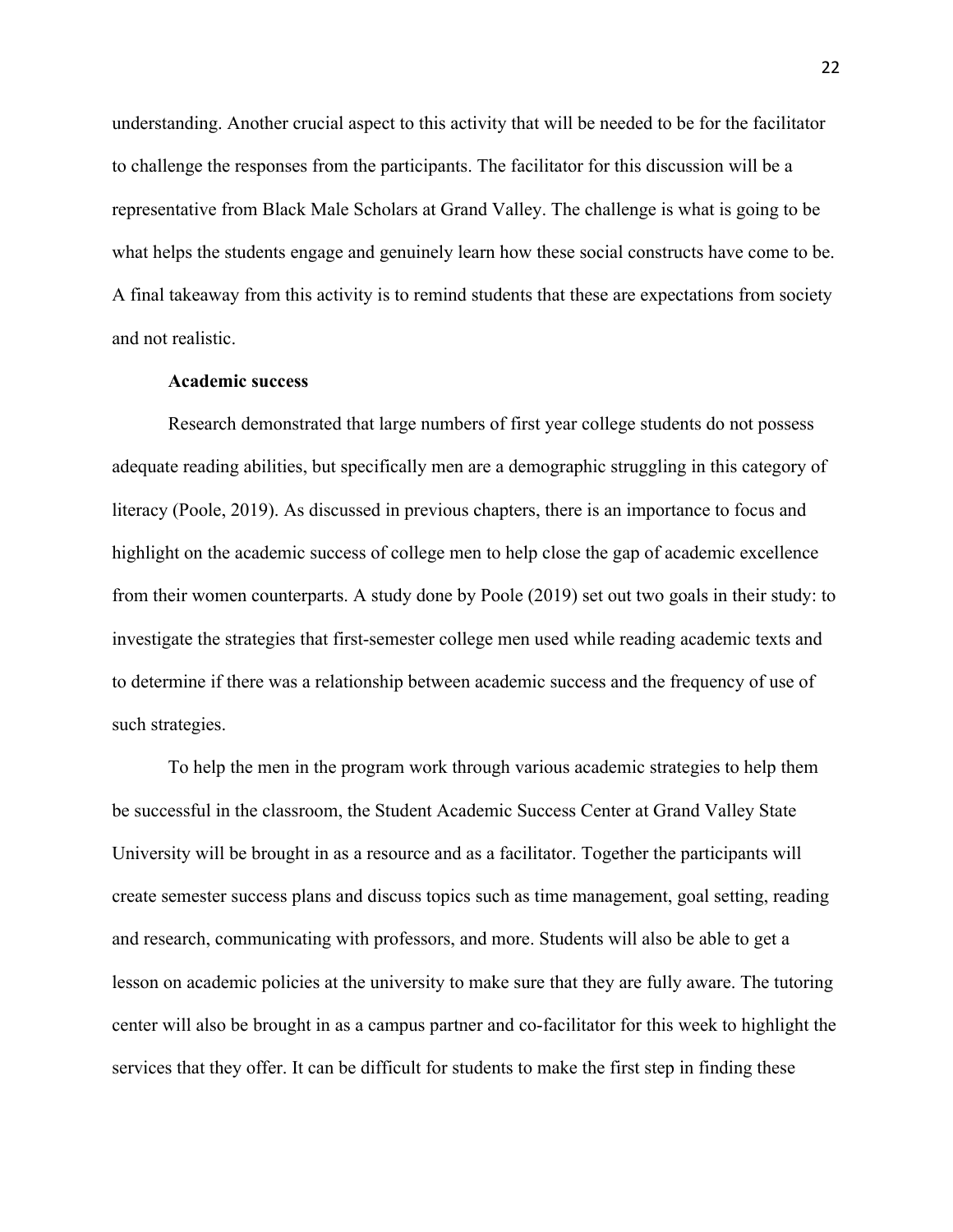understanding. Another crucial aspect to this activity that will be needed to be for the facilitator to challenge the responses from the participants. The facilitator for this discussion will be a representative from Black Male Scholars at Grand Valley. The challenge is what is going to be what helps the students engage and genuinely learn how these social constructs have come to be. A final takeaway from this activity is to remind students that these are expectations from society and not realistic.

## **Academic success**

Research demonstrated that large numbers of first year college students do not possess adequate reading abilities, but specifically men are a demographic struggling in this category of literacy (Poole, 2019). As discussed in previous chapters, there is an importance to focus and highlight on the academic success of college men to help close the gap of academic excellence from their women counterparts. A study done by Poole (2019) set out two goals in their study: to investigate the strategies that first-semester college men used while reading academic texts and to determine if there was a relationship between academic success and the frequency of use of such strategies.

To help the men in the program work through various academic strategies to help them be successful in the classroom, the Student Academic Success Center at Grand Valley State University will be brought in as a resource and as a facilitator. Together the participants will create semester success plans and discuss topics such as time management, goal setting, reading and research, communicating with professors, and more. Students will also be able to get a lesson on academic policies at the university to make sure that they are fully aware. The tutoring center will also be brought in as a campus partner and co-facilitator for this week to highlight the services that they offer. It can be difficult for students to make the first step in finding these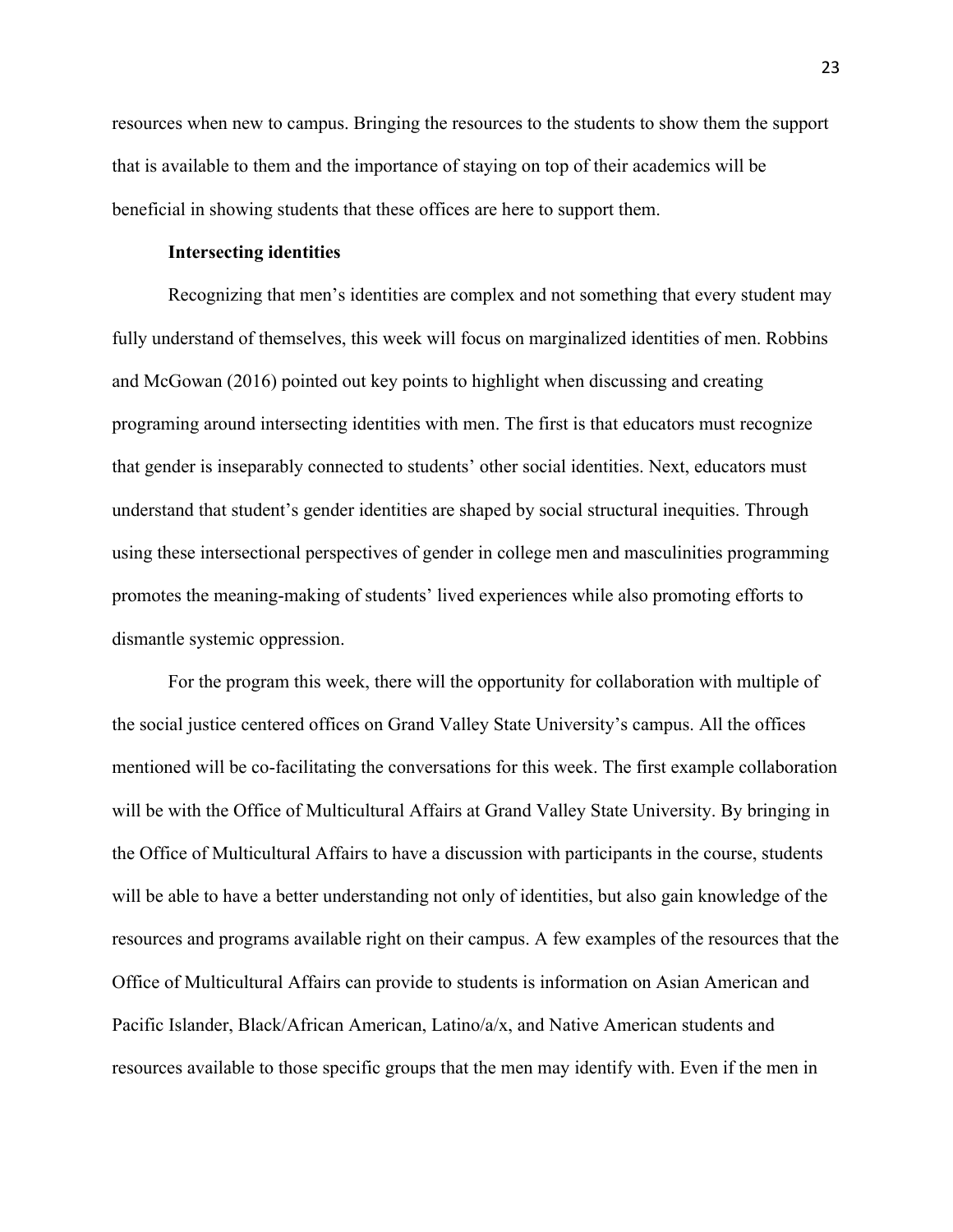resources when new to campus. Bringing the resources to the students to show them the support that is available to them and the importance of staying on top of their academics will be beneficial in showing students that these offices are here to support them.

## **Intersecting identities**

Recognizing that men's identities are complex and not something that every student may fully understand of themselves, this week will focus on marginalized identities of men. Robbins and McGowan (2016) pointed out key points to highlight when discussing and creating programing around intersecting identities with men. The first is that educators must recognize that gender is inseparably connected to students' other social identities. Next, educators must understand that student's gender identities are shaped by social structural inequities. Through using these intersectional perspectives of gender in college men and masculinities programming promotes the meaning-making of students' lived experiences while also promoting efforts to dismantle systemic oppression.

For the program this week, there will the opportunity for collaboration with multiple of the social justice centered offices on Grand Valley State University's campus. All the offices mentioned will be co-facilitating the conversations for this week. The first example collaboration will be with the Office of Multicultural Affairs at Grand Valley State University. By bringing in the Office of Multicultural Affairs to have a discussion with participants in the course, students will be able to have a better understanding not only of identities, but also gain knowledge of the resources and programs available right on their campus. A few examples of the resources that the Office of Multicultural Affairs can provide to students is information on Asian American and Pacific Islander, Black/African American, Latino/a/x, and Native American students and resources available to those specific groups that the men may identify with. Even if the men in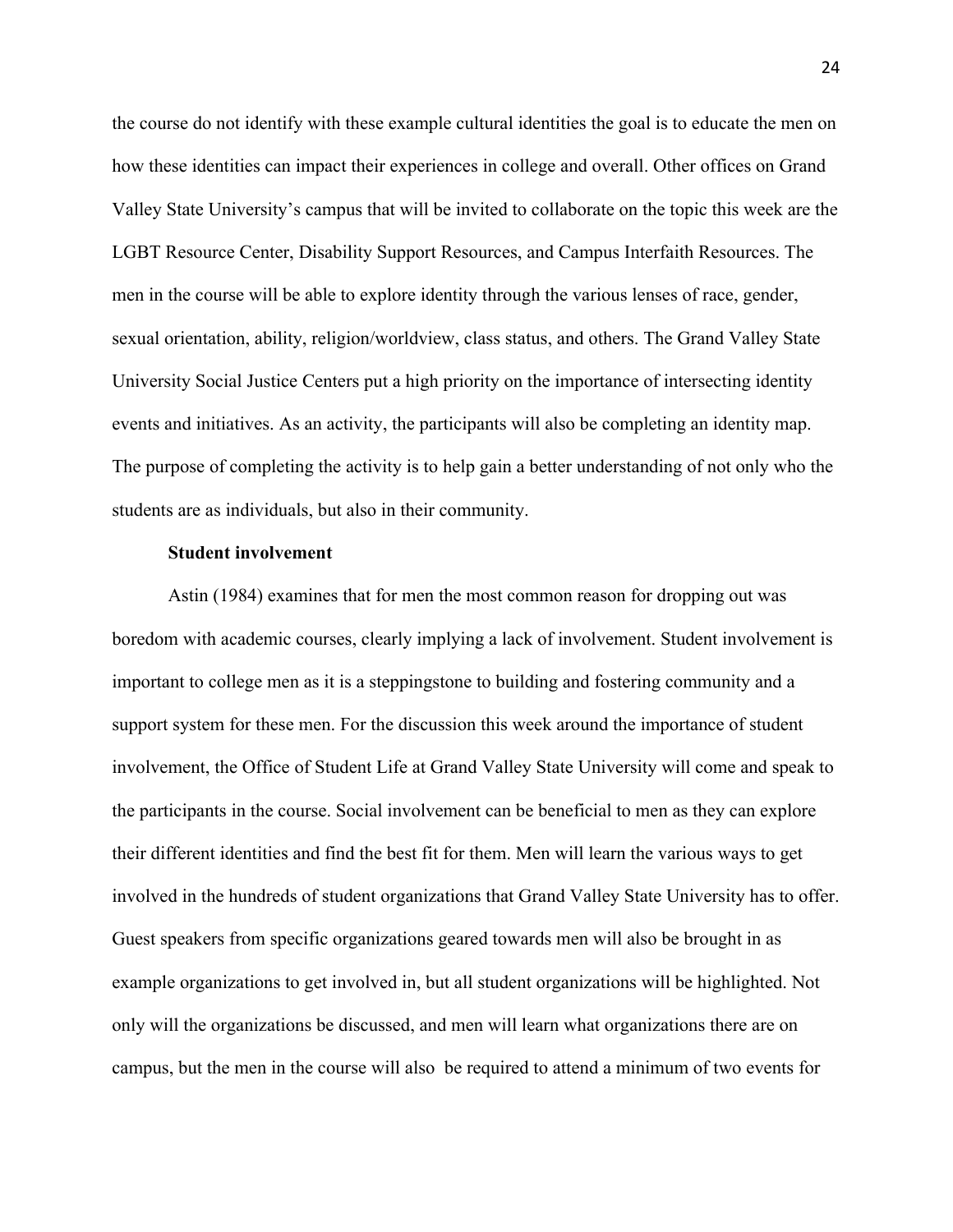the course do not identify with these example cultural identities the goal is to educate the men on how these identities can impact their experiences in college and overall. Other offices on Grand Valley State University's campus that will be invited to collaborate on the topic this week are the LGBT Resource Center, Disability Support Resources, and Campus Interfaith Resources. The men in the course will be able to explore identity through the various lenses of race, gender, sexual orientation, ability, religion/worldview, class status, and others. The Grand Valley State University Social Justice Centers put a high priority on the importance of intersecting identity events and initiatives. As an activity, the participants will also be completing an identity map. The purpose of completing the activity is to help gain a better understanding of not only who the students are as individuals, but also in their community.

## **Student involvement**

Astin (1984) examines that for men the most common reason for dropping out was boredom with academic courses, clearly implying a lack of involvement. Student involvement is important to college men as it is a steppingstone to building and fostering community and a support system for these men. For the discussion this week around the importance of student involvement, the Office of Student Life at Grand Valley State University will come and speak to the participants in the course. Social involvement can be beneficial to men as they can explore their different identities and find the best fit for them. Men will learn the various ways to get involved in the hundreds of student organizations that Grand Valley State University has to offer. Guest speakers from specific organizations geared towards men will also be brought in as example organizations to get involved in, but all student organizations will be highlighted. Not only will the organizations be discussed, and men will learn what organizations there are on campus, but the men in the course will also be required to attend a minimum of two events for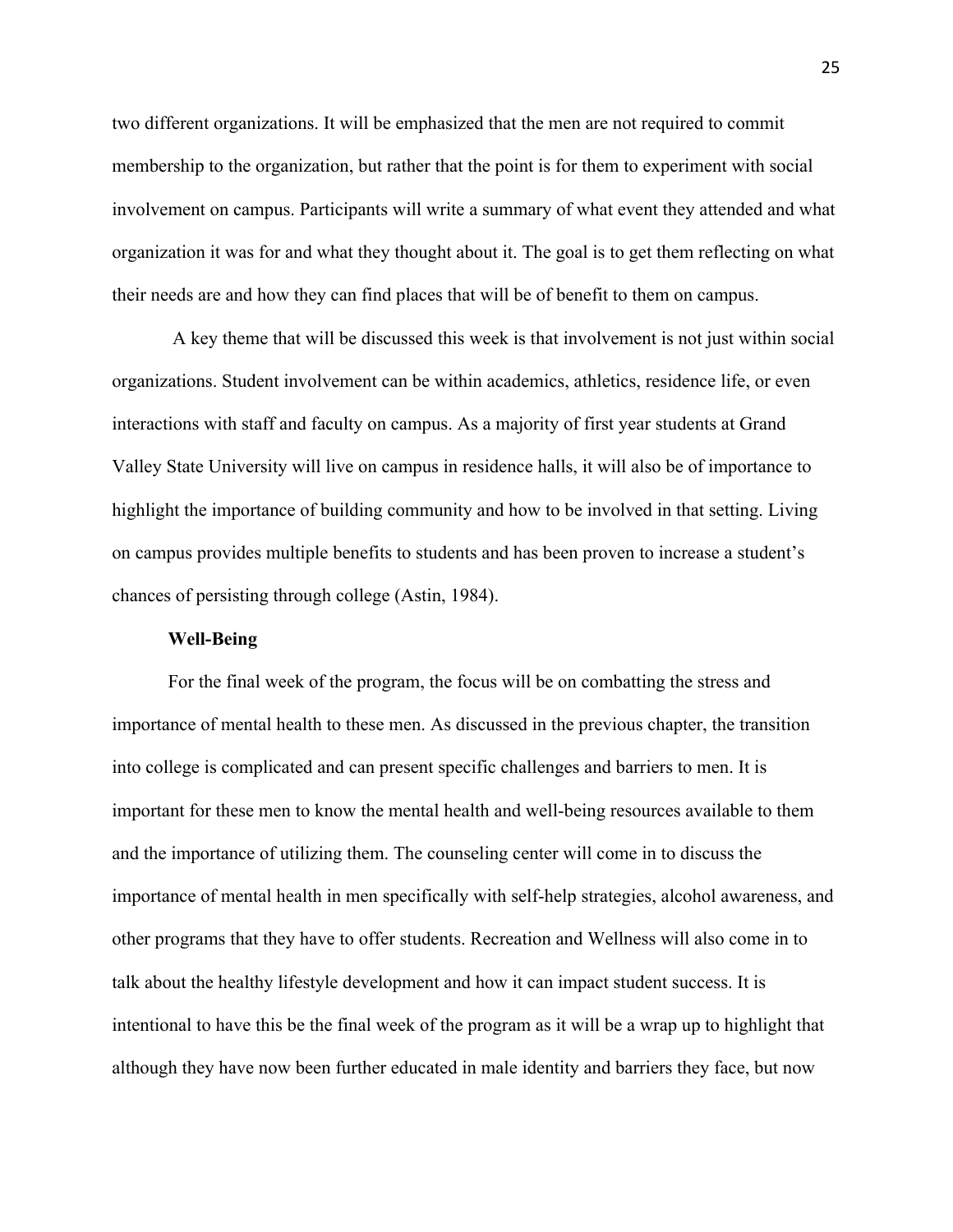two different organizations. It will be emphasized that the men are not required to commit membership to the organization, but rather that the point is for them to experiment with social involvement on campus. Participants will write a summary of what event they attended and what organization it was for and what they thought about it. The goal is to get them reflecting on what their needs are and how they can find places that will be of benefit to them on campus.

A key theme that will be discussed this week is that involvement is not just within social organizations. Student involvement can be within academics, athletics, residence life, or even interactions with staff and faculty on campus. As a majority of first year students at Grand Valley State University will live on campus in residence halls, it will also be of importance to highlight the importance of building community and how to be involved in that setting. Living on campus provides multiple benefits to students and has been proven to increase a student's chances of persisting through college (Astin, 1984).

## **Well-Being**

For the final week of the program, the focus will be on combatting the stress and importance of mental health to these men. As discussed in the previous chapter, the transition into college is complicated and can present specific challenges and barriers to men. It is important for these men to know the mental health and well-being resources available to them and the importance of utilizing them. The counseling center will come in to discuss the importance of mental health in men specifically with self-help strategies, alcohol awareness, and other programs that they have to offer students. Recreation and Wellness will also come in to talk about the healthy lifestyle development and how it can impact student success. It is intentional to have this be the final week of the program as it will be a wrap up to highlight that although they have now been further educated in male identity and barriers they face, but now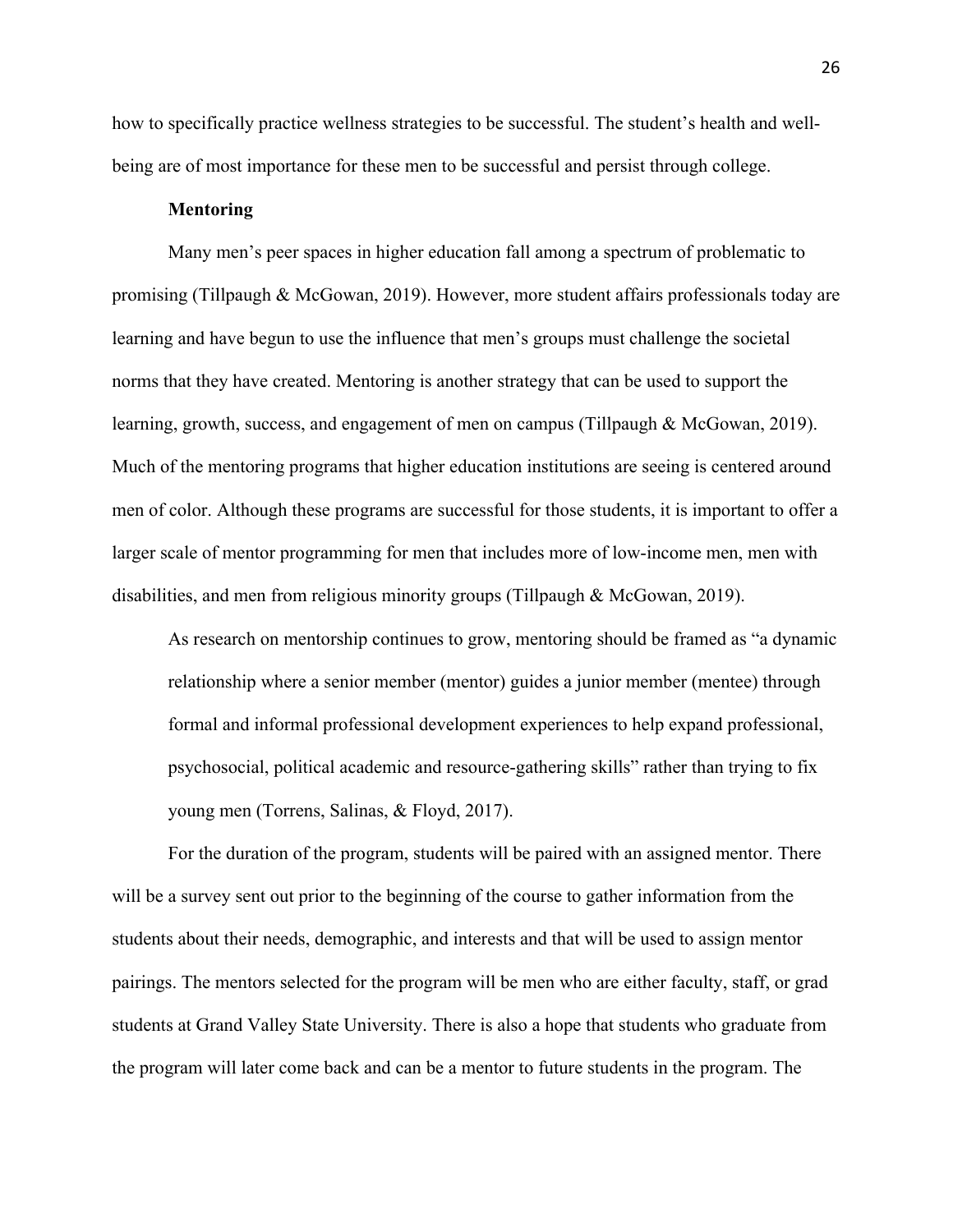how to specifically practice wellness strategies to be successful. The student's health and wellbeing are of most importance for these men to be successful and persist through college.

## **Mentoring**

Many men's peer spaces in higher education fall among a spectrum of problematic to promising (Tillpaugh & McGowan, 2019). However, more student affairs professionals today are learning and have begun to use the influence that men's groups must challenge the societal norms that they have created. Mentoring is another strategy that can be used to support the learning, growth, success, and engagement of men on campus (Tillpaugh & McGowan, 2019). Much of the mentoring programs that higher education institutions are seeing is centered around men of color. Although these programs are successful for those students, it is important to offer a larger scale of mentor programming for men that includes more of low-income men, men with disabilities, and men from religious minority groups (Tillpaugh & McGowan, 2019).

As research on mentorship continues to grow, mentoring should be framed as "a dynamic relationship where a senior member (mentor) guides a junior member (mentee) through formal and informal professional development experiences to help expand professional, psychosocial, political academic and resource-gathering skills" rather than trying to fix young men (Torrens, Salinas, & Floyd, 2017).

For the duration of the program, students will be paired with an assigned mentor. There will be a survey sent out prior to the beginning of the course to gather information from the students about their needs, demographic, and interests and that will be used to assign mentor pairings. The mentors selected for the program will be men who are either faculty, staff, or grad students at Grand Valley State University. There is also a hope that students who graduate from the program will later come back and can be a mentor to future students in the program. The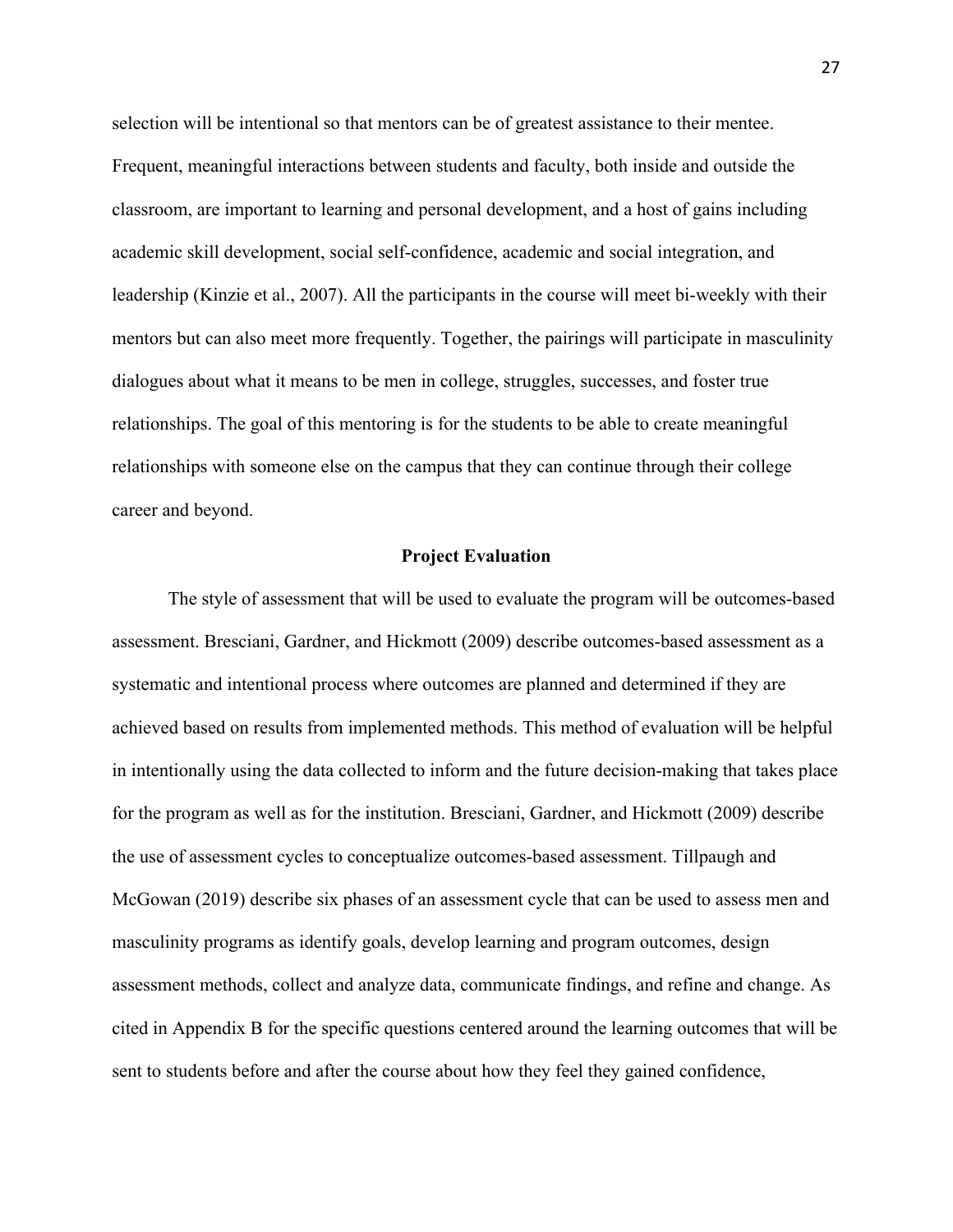selection will be intentional so that mentors can be of greatest assistance to their mentee. Frequent, meaningful interactions between students and faculty, both inside and outside the classroom, are important to learning and personal development, and a host of gains including academic skill development, social self-confidence, academic and social integration, and leadership (Kinzie et al., 2007). All the participants in the course will meet bi-weekly with their mentors but can also meet more frequently. Together, the pairings will participate in masculinity dialogues about what it means to be men in college, struggles, successes, and foster true relationships. The goal of this mentoring is for the students to be able to create meaningful relationships with someone else on the campus that they can continue through their college career and beyond.

## **Project Evaluation**

The style of assessment that will be used to evaluate the program will be outcomes-based assessment. Bresciani, Gardner, and Hickmott (2009) describe outcomes-based assessment as a systematic and intentional process where outcomes are planned and determined if they are achieved based on results from implemented methods. This method of evaluation will be helpful in intentionally using the data collected to inform and the future decision-making that takes place for the program as well as for the institution. Bresciani, Gardner, and Hickmott (2009) describe the use of assessment cycles to conceptualize outcomes-based assessment. Tillpaugh and McGowan (2019) describe six phases of an assessment cycle that can be used to assess men and masculinity programs as identify goals, develop learning and program outcomes, design assessment methods, collect and analyze data, communicate findings, and refine and change. As cited in Appendix B for the specific questions centered around the learning outcomes that will be sent to students before and after the course about how they feel they gained confidence,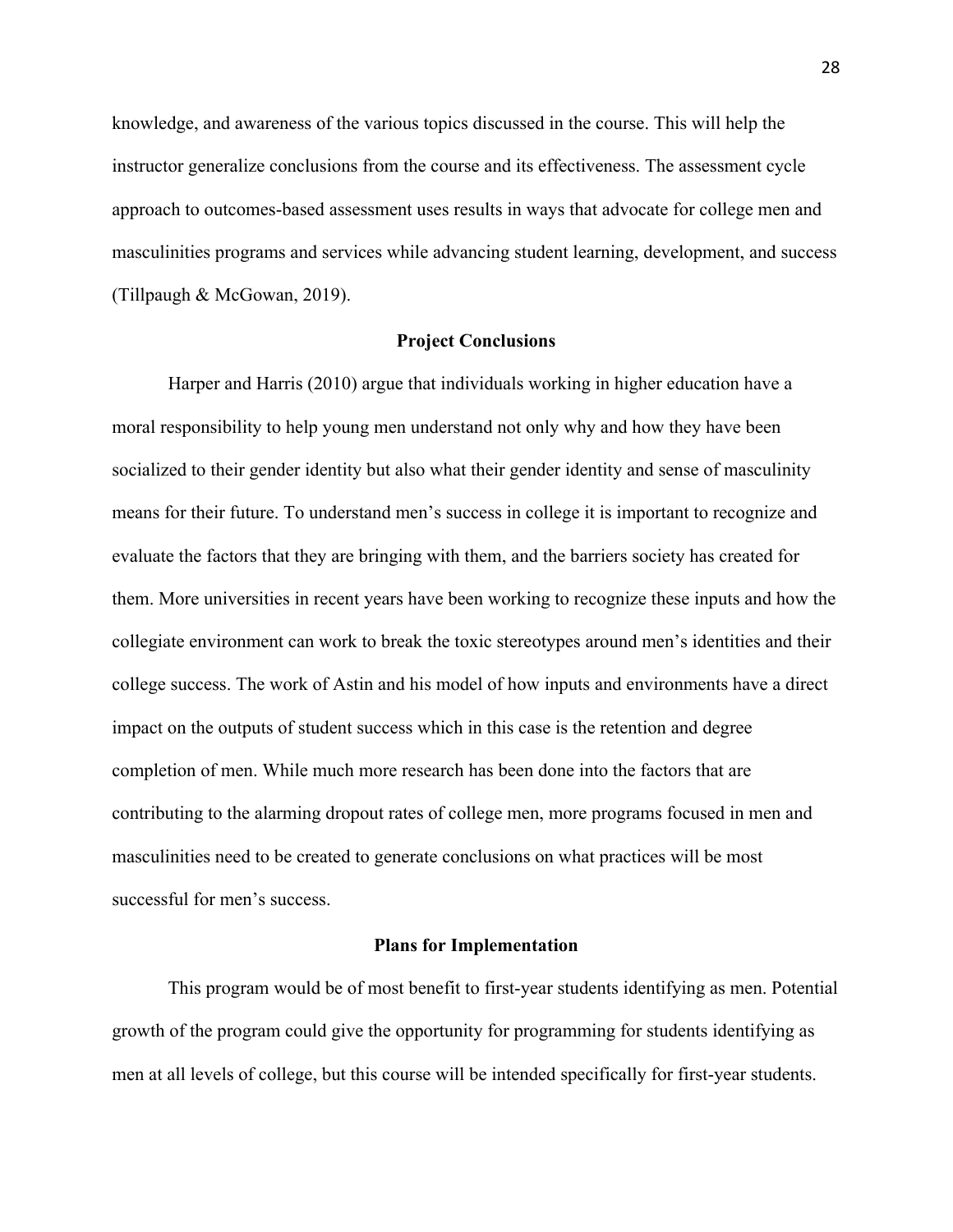knowledge, and awareness of the various topics discussed in the course. This will help the instructor generalize conclusions from the course and its effectiveness. The assessment cycle approach to outcomes-based assessment uses results in ways that advocate for college men and masculinities programs and services while advancing student learning, development, and success (Tillpaugh & McGowan, 2019).

## **Project Conclusions**

Harper and Harris (2010) argue that individuals working in higher education have a moral responsibility to help young men understand not only why and how they have been socialized to their gender identity but also what their gender identity and sense of masculinity means for their future. To understand men's success in college it is important to recognize and evaluate the factors that they are bringing with them, and the barriers society has created for them. More universities in recent years have been working to recognize these inputs and how the collegiate environment can work to break the toxic stereotypes around men's identities and their college success. The work of Astin and his model of how inputs and environments have a direct impact on the outputs of student success which in this case is the retention and degree completion of men. While much more research has been done into the factors that are contributing to the alarming dropout rates of college men, more programs focused in men and masculinities need to be created to generate conclusions on what practices will be most successful for men's success.

## **Plans for Implementation**

This program would be of most benefit to first-year students identifying as men. Potential growth of the program could give the opportunity for programming for students identifying as men at all levels of college, but this course will be intended specifically for first-year students.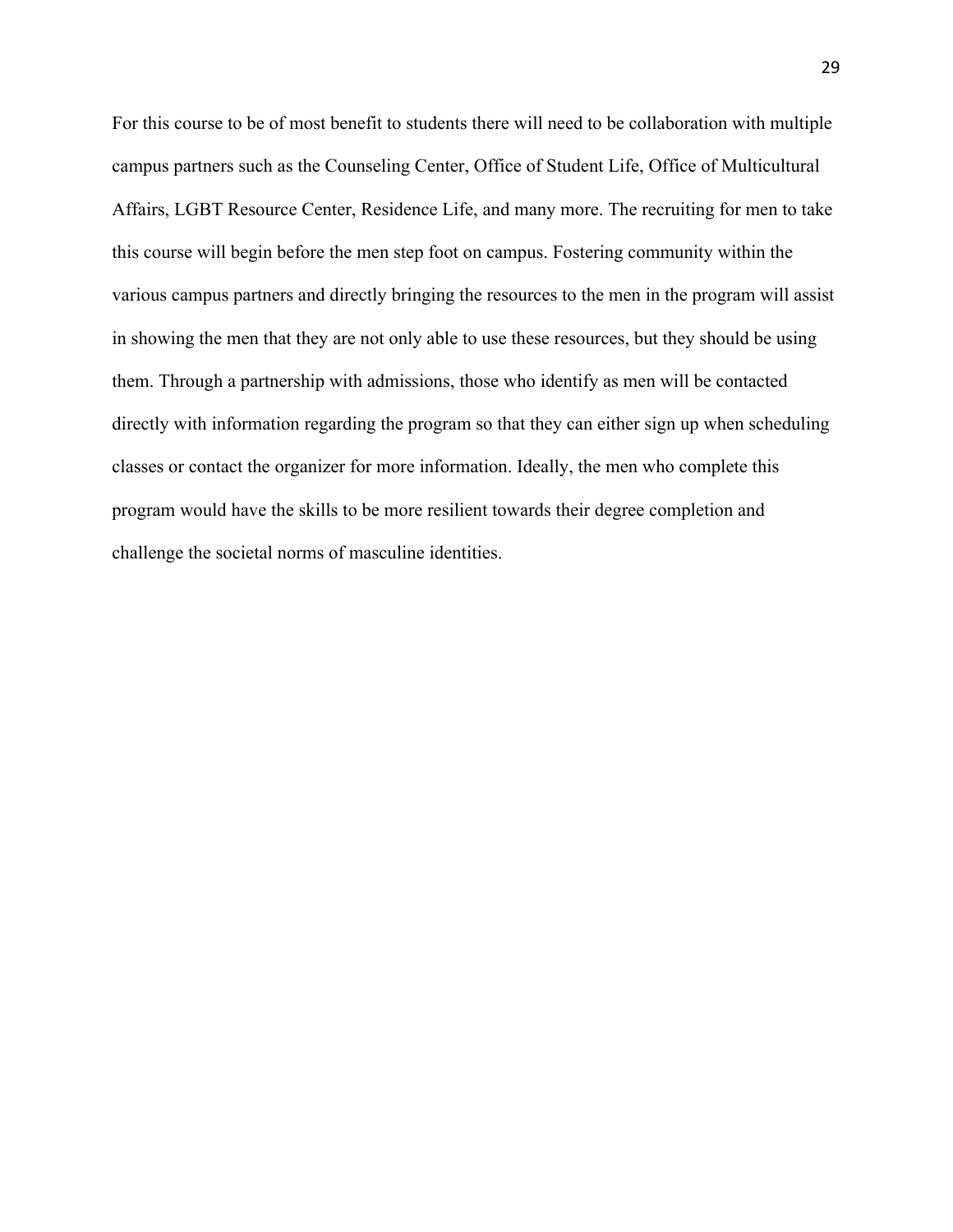For this course to be of most benefit to students there will need to be collaboration with multiple campus partners such as the Counseling Center, Office of Student Life, Office of Multicultural Affairs, LGBT Resource Center, Residence Life, and many more. The recruiting for men to take this course will begin before the men step foot on campus. Fostering community within the various campus partners and directly bringing the resources to the men in the program will assist in showing the men that they are not only able to use these resources, but they should be using them. Through a partnership with admissions, those who identify as men will be contacted directly with information regarding the program so that they can either sign up when scheduling classes or contact the organizer for more information. Ideally, the men who complete this program would have the skills to be more resilient towards their degree completion and challenge the societal norms of masculine identities.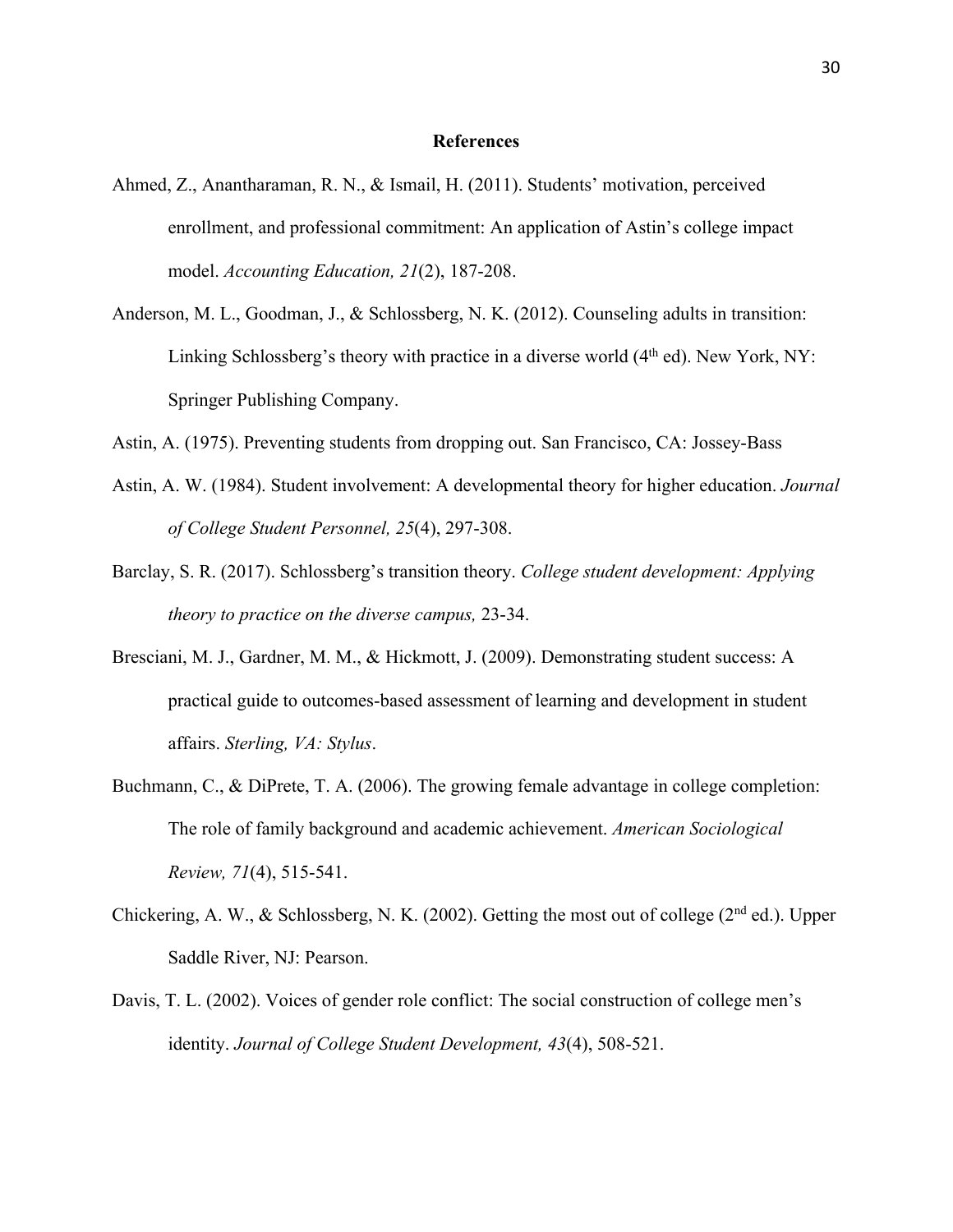#### **References**

- Ahmed, Z., Anantharaman, R. N., & Ismail, H. (2011). Students' motivation, perceived enrollment, and professional commitment: An application of Astin's college impact model. *Accounting Education, 21*(2), 187-208.
- Anderson, M. L., Goodman, J., & Schlossberg, N. K. (2012). Counseling adults in transition: Linking Schlossberg's theory with practice in a diverse world  $(4<sup>th</sup>$ ed). New York, NY: Springer Publishing Company.
- Astin, A. (1975). Preventing students from dropping out. San Francisco, CA: Jossey-Bass
- Astin, A. W. (1984). Student involvement: A developmental theory for higher education. *Journal of College Student Personnel, 25*(4), 297-308.
- Barclay, S. R. (2017). Schlossberg's transition theory. *College student development: Applying theory to practice on the diverse campus,* 23-34.
- Bresciani, M. J., Gardner, M. M., & Hickmott, J. (2009). Demonstrating student success: A practical guide to outcomes-based assessment of learning and development in student affairs. *Sterling, VA: Stylus*.
- Buchmann, C., & DiPrete, T. A. (2006). The growing female advantage in college completion: The role of family background and academic achievement. *American Sociological Review, 71*(4), 515-541.
- Chickering, A. W., & Schlossberg, N. K. (2002). Getting the most out of college ( $2<sup>nd</sup>$  ed.). Upper Saddle River, NJ: Pearson.
- Davis, T. L. (2002). Voices of gender role conflict: The social construction of college men's identity. *Journal of College Student Development, 43*(4), 508-521.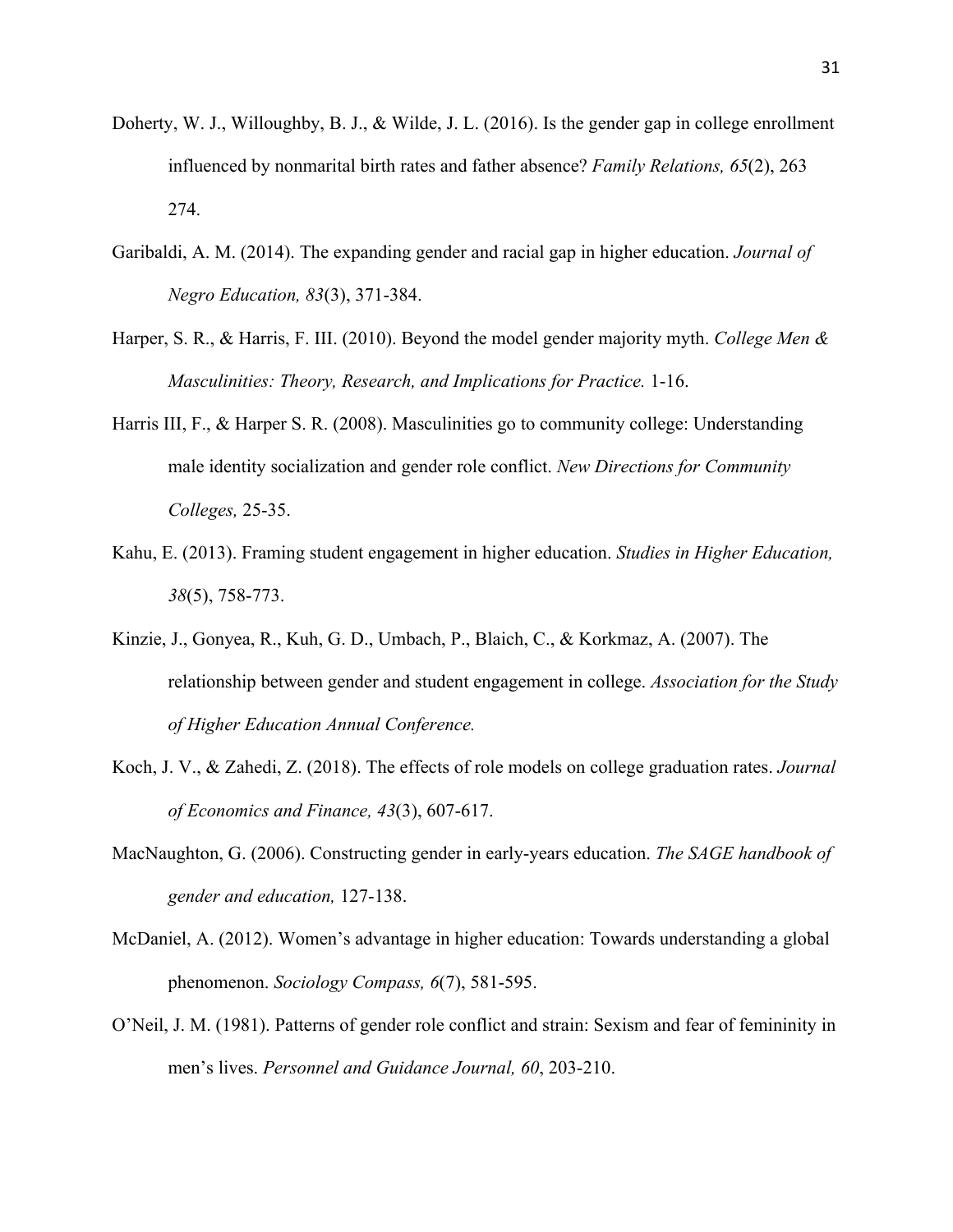- Doherty, W. J., Willoughby, B. J., & Wilde, J. L. (2016). Is the gender gap in college enrollment influenced by nonmarital birth rates and father absence? *Family Relations, 65*(2), 263 274.
- Garibaldi, A. M. (2014). The expanding gender and racial gap in higher education. *Journal of Negro Education, 83*(3), 371-384.
- Harper, S. R., & Harris, F. III. (2010). Beyond the model gender majority myth. *College Men & Masculinities: Theory, Research, and Implications for Practice.* 1-16.
- Harris III, F., & Harper S. R. (2008). Masculinities go to community college: Understanding male identity socialization and gender role conflict. *New Directions for Community Colleges,* 25-35.
- Kahu, E. (2013). Framing student engagement in higher education. *Studies in Higher Education, 38*(5), 758-773.
- Kinzie, J., Gonyea, R., Kuh, G. D., Umbach, P., Blaich, C., & Korkmaz, A. (2007). The relationship between gender and student engagement in college. *Association for the Study of Higher Education Annual Conference.*
- Koch, J. V., & Zahedi, Z. (2018). The effects of role models on college graduation rates. *Journal of Economics and Finance, 43*(3), 607-617.
- MacNaughton, G. (2006). Constructing gender in early-years education. *The SAGE handbook of gender and education,* 127-138.
- McDaniel, A. (2012). Women's advantage in higher education: Towards understanding a global phenomenon. *Sociology Compass, 6*(7), 581-595.
- O'Neil, J. M. (1981). Patterns of gender role conflict and strain: Sexism and fear of femininity in men's lives. *Personnel and Guidance Journal, 60*, 203-210.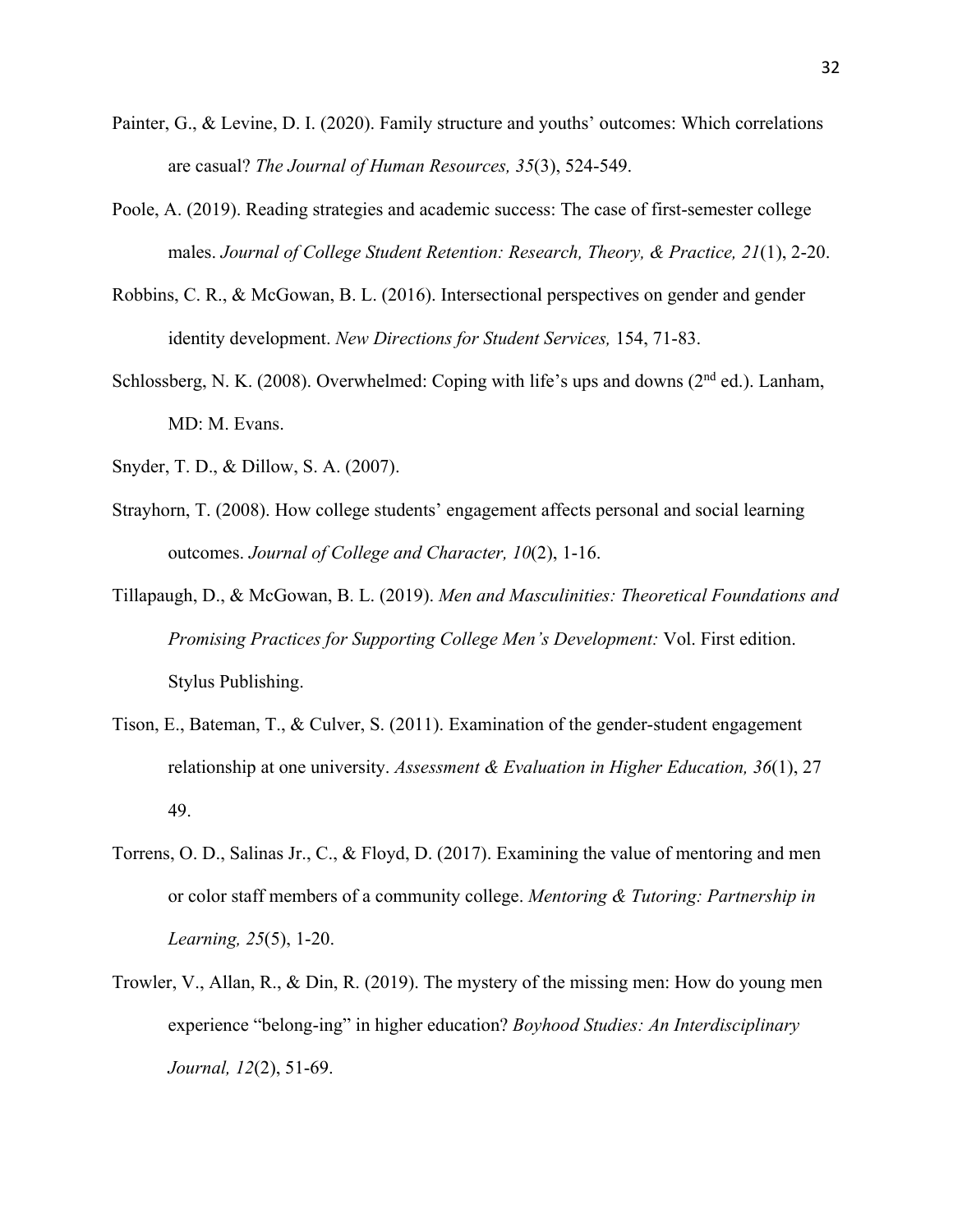- Painter, G., & Levine, D. I. (2020). Family structure and youths' outcomes: Which correlations are casual? *The Journal of Human Resources, 35*(3), 524-549.
- Poole, A. (2019). Reading strategies and academic success: The case of first-semester college males. *Journal of College Student Retention: Research, Theory, & Practice, 21*(1), 2-20.
- Robbins, C. R., & McGowan, B. L. (2016). Intersectional perspectives on gender and gender identity development. *New Directions for Student Services,* 154, 71-83.
- Schlossberg, N. K. (2008). Overwhelmed: Coping with life's ups and downs ( $2<sup>nd</sup>$  ed.). Lanham, MD: M. Evans.
- Snyder, T. D., & Dillow, S. A. (2007).
- Strayhorn, T. (2008). How college students' engagement affects personal and social learning outcomes. *Journal of College and Character, 10*(2), 1-16.
- Tillapaugh, D., & McGowan, B. L. (2019). *Men and Masculinities: Theoretical Foundations and Promising Practices for Supporting College Men's Development:* Vol. First edition. Stylus Publishing.
- Tison, E., Bateman, T., & Culver, S. (2011). Examination of the gender-student engagement relationship at one university. *Assessment & Evaluation in Higher Education, 36*(1), 27 49.
- Torrens, O. D., Salinas Jr., C., & Floyd, D. (2017). Examining the value of mentoring and men or color staff members of a community college. *Mentoring & Tutoring: Partnership in Learning, 25*(5), 1-20.
- Trowler, V., Allan, R., & Din, R. (2019). The mystery of the missing men: How do young men experience "belong-ing" in higher education? *Boyhood Studies: An Interdisciplinary Journal, 12*(2), 51-69.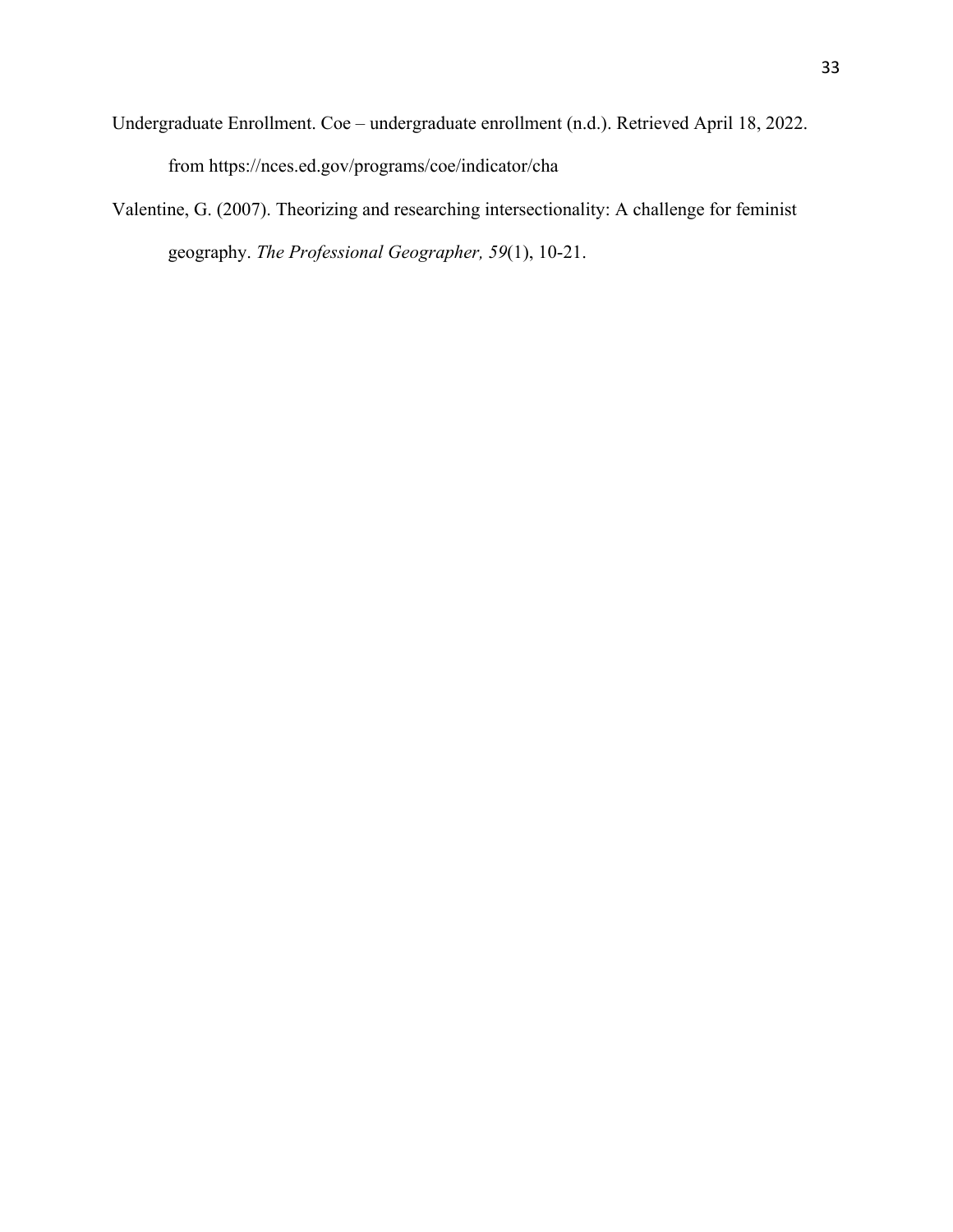- Undergraduate Enrollment. Coe undergraduate enrollment (n.d.). Retrieved April 18, 2022. from https://nces.ed.gov/programs/coe/indicator/cha
- Valentine, G. (2007). Theorizing and researching intersectionality: A challenge for feminist geography. *The Professional Geographer, 59*(1), 10-21.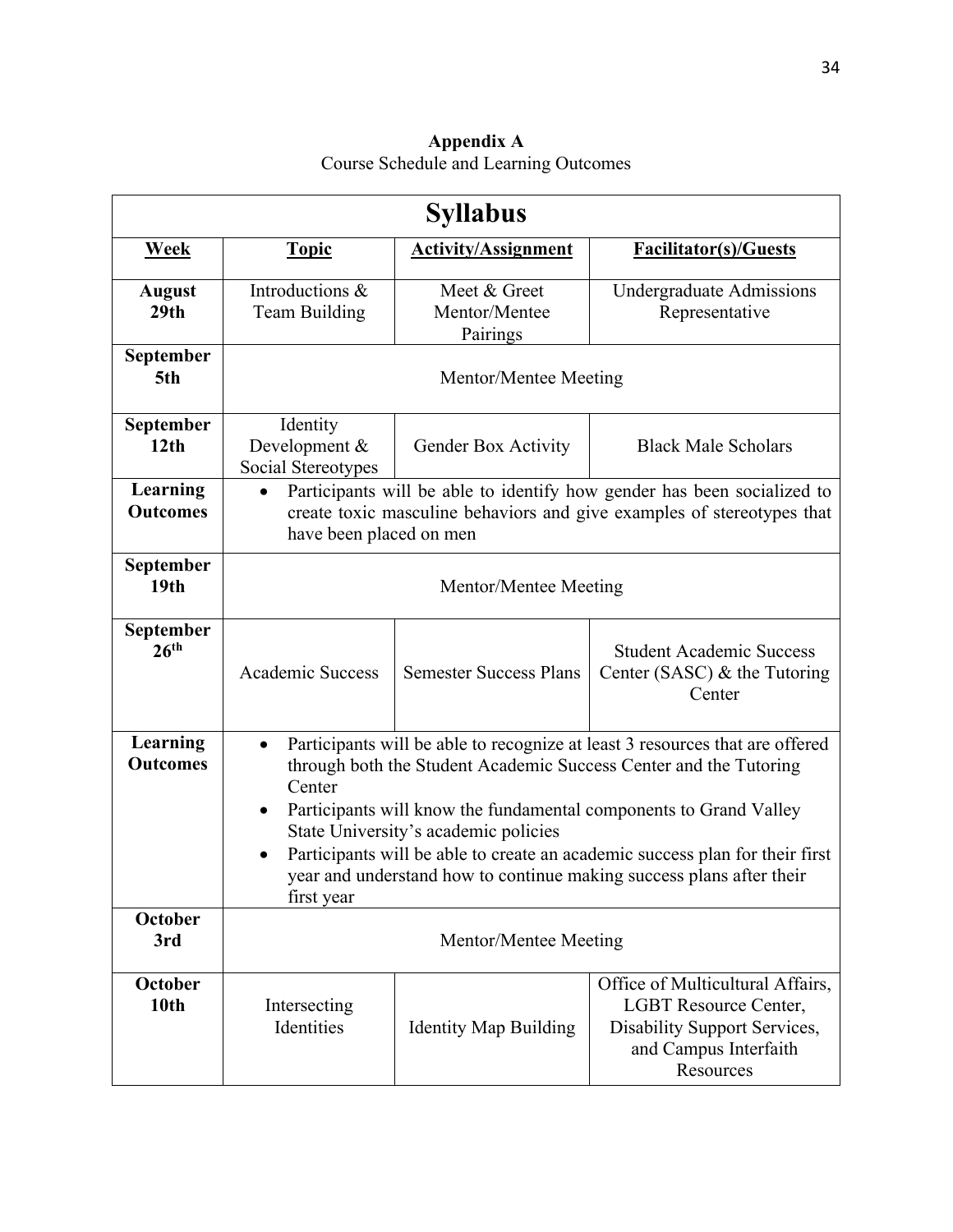| Appendix A                            |  |  |  |  |
|---------------------------------------|--|--|--|--|
| Course Schedule and Learning Outcomes |  |  |  |  |

| <b>Syllabus</b>                   |                                                                                                                                                                                                                                                                                                                                                                                                                                                |                                           |                                                                                                                                 |  |  |
|-----------------------------------|------------------------------------------------------------------------------------------------------------------------------------------------------------------------------------------------------------------------------------------------------------------------------------------------------------------------------------------------------------------------------------------------------------------------------------------------|-------------------------------------------|---------------------------------------------------------------------------------------------------------------------------------|--|--|
| <b>Week</b>                       | <b>Topic</b>                                                                                                                                                                                                                                                                                                                                                                                                                                   | <b>Activity/Assignment</b>                | <b>Facilitator(s)/Guests</b>                                                                                                    |  |  |
| <b>August</b><br>29 <sub>th</sub> | Introductions &<br><b>Team Building</b>                                                                                                                                                                                                                                                                                                                                                                                                        | Meet & Greet<br>Mentor/Mentee<br>Pairings | <b>Undergraduate Admissions</b><br>Representative                                                                               |  |  |
| September<br>5th                  | Mentor/Mentee Meeting                                                                                                                                                                                                                                                                                                                                                                                                                          |                                           |                                                                                                                                 |  |  |
| September<br>12 <sub>th</sub>     | Identity<br>Development &<br>Social Stereotypes                                                                                                                                                                                                                                                                                                                                                                                                | Gender Box Activity                       | <b>Black Male Scholars</b>                                                                                                      |  |  |
| Learning<br><b>Outcomes</b>       | Participants will be able to identify how gender has been socialized to<br>create toxic masculine behaviors and give examples of stereotypes that<br>have been placed on men                                                                                                                                                                                                                                                                   |                                           |                                                                                                                                 |  |  |
| September<br>19 <sub>th</sub>     | Mentor/Mentee Meeting                                                                                                                                                                                                                                                                                                                                                                                                                          |                                           |                                                                                                                                 |  |  |
| September<br>26 <sup>th</sup>     | <b>Academic Success</b>                                                                                                                                                                                                                                                                                                                                                                                                                        | <b>Semester Success Plans</b>             | <b>Student Academic Success</b><br>Center (SASC) $&$ the Tutoring<br>Center                                                     |  |  |
| Learning<br><b>Outcomes</b>       | Participants will be able to recognize at least 3 resources that are offered<br>through both the Student Academic Success Center and the Tutoring<br>Center<br>Participants will know the fundamental components to Grand Valley<br>State University's academic policies<br>Participants will be able to create an academic success plan for their first<br>year and understand how to continue making success plans after their<br>first year |                                           |                                                                                                                                 |  |  |
| <b>October</b><br>3rd             | Mentor/Mentee Meeting                                                                                                                                                                                                                                                                                                                                                                                                                          |                                           |                                                                                                                                 |  |  |
| October<br>10 <sub>th</sub>       | Intersecting<br>Identities                                                                                                                                                                                                                                                                                                                                                                                                                     | <b>Identity Map Building</b>              | Office of Multicultural Affairs,<br>LGBT Resource Center,<br>Disability Support Services,<br>and Campus Interfaith<br>Resources |  |  |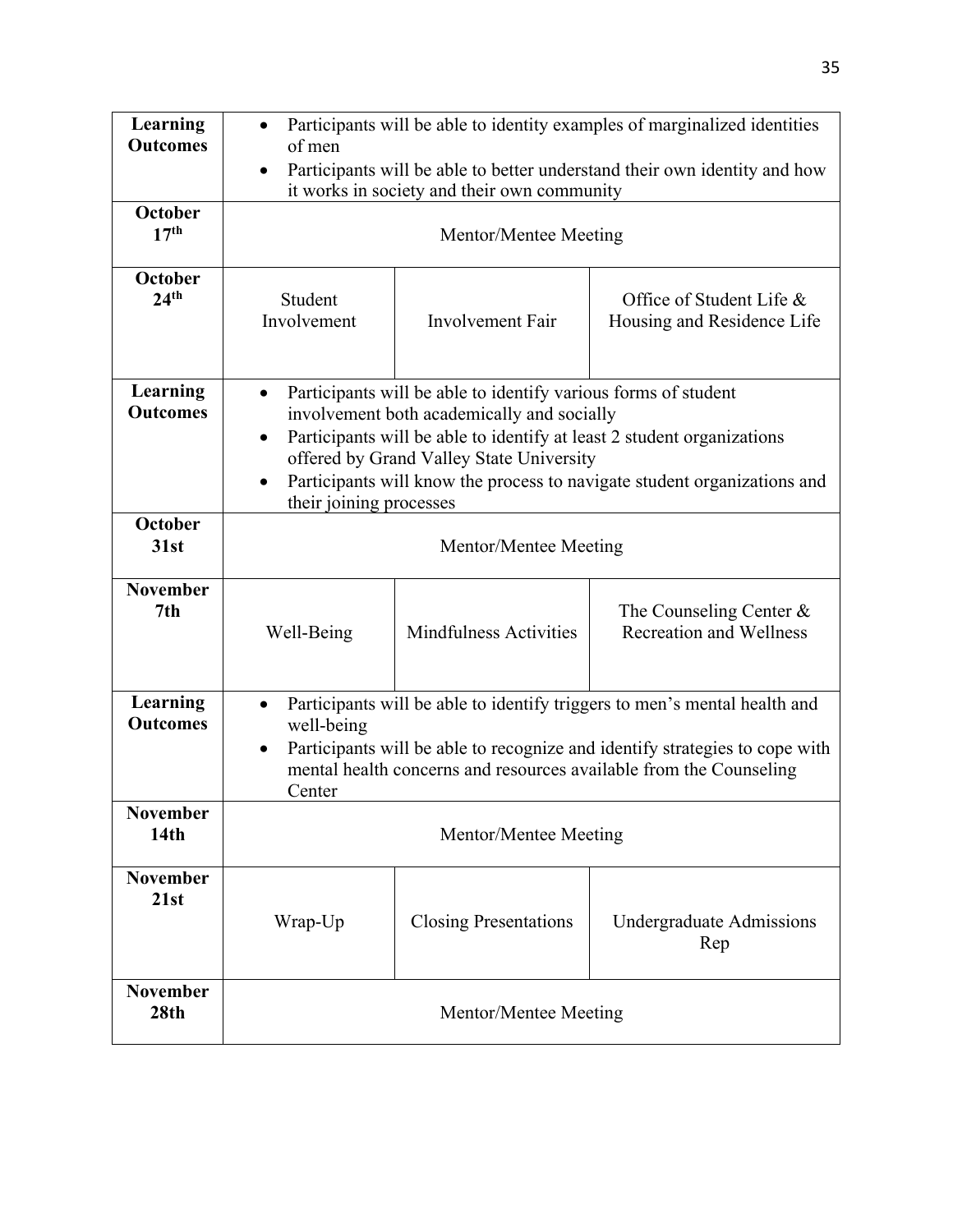| Learning<br><b>Outcomes</b>         | Participants will be able to identity examples of marginalized identities<br>of men<br>Participants will be able to better understand their own identity and how<br>$\bullet$<br>it works in society and their own community                                                                                                                           |                               |                                                             |  |  |
|-------------------------------------|--------------------------------------------------------------------------------------------------------------------------------------------------------------------------------------------------------------------------------------------------------------------------------------------------------------------------------------------------------|-------------------------------|-------------------------------------------------------------|--|--|
| October<br>17 <sup>th</sup>         | Mentor/Mentee Meeting                                                                                                                                                                                                                                                                                                                                  |                               |                                                             |  |  |
| October<br>24 <sup>th</sup>         | Student<br>Involvement                                                                                                                                                                                                                                                                                                                                 | <b>Involvement Fair</b>       | Office of Student Life &<br>Housing and Residence Life      |  |  |
| Learning<br><b>Outcomes</b>         | Participants will be able to identify various forms of student<br>involvement both academically and socially<br>Participants will be able to identify at least 2 student organizations<br>$\bullet$<br>offered by Grand Valley State University<br>Participants will know the process to navigate student organizations and<br>their joining processes |                               |                                                             |  |  |
| October<br>31st                     | Mentor/Mentee Meeting                                                                                                                                                                                                                                                                                                                                  |                               |                                                             |  |  |
| <b>November</b><br>7th              | Well-Being                                                                                                                                                                                                                                                                                                                                             | <b>Mindfulness Activities</b> | The Counseling Center $&$<br><b>Recreation and Wellness</b> |  |  |
| Learning<br><b>Outcomes</b>         | Participants will be able to identify triggers to men's mental health and<br>$\bullet$<br>well-being<br>Participants will be able to recognize and identify strategies to cope with<br>$\bullet$<br>mental health concerns and resources available from the Counseling<br>Center                                                                       |                               |                                                             |  |  |
| <b>November</b><br>14 <sub>th</sub> | Mentor/Mentee Meeting                                                                                                                                                                                                                                                                                                                                  |                               |                                                             |  |  |
| <b>November</b><br>21st             | Wrap-Up                                                                                                                                                                                                                                                                                                                                                | <b>Closing Presentations</b>  | Undergraduate Admissions<br>Rep                             |  |  |
| <b>November</b><br>28th             | Mentor/Mentee Meeting                                                                                                                                                                                                                                                                                                                                  |                               |                                                             |  |  |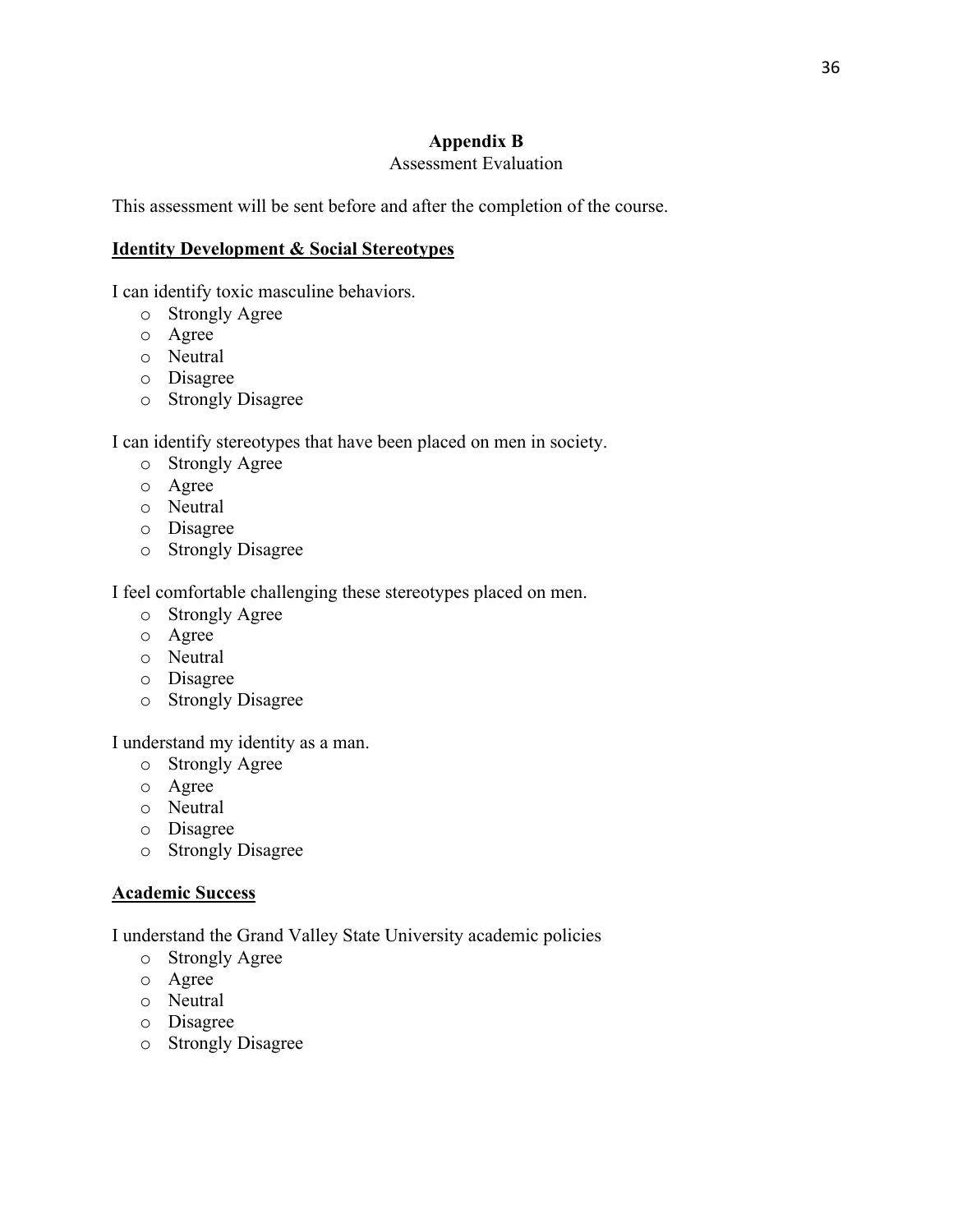## **Appendix B**

## Assessment Evaluation

This assessment will be sent before and after the completion of the course.

## **Identity Development & Social Stereotypes**

I can identify toxic masculine behaviors.

- o Strongly Agree
- o Agree
- o Neutral
- o Disagree
- o Strongly Disagree

I can identify stereotypes that have been placed on men in society.

- o Strongly Agree
- o Agree
- o Neutral
- o Disagree
- o Strongly Disagree

I feel comfortable challenging these stereotypes placed on men.

- o Strongly Agree
- o Agree
- o Neutral
- o Disagree
- o Strongly Disagree

I understand my identity as a man.

- o Strongly Agree
- o Agree
- o Neutral
- o Disagree
- o Strongly Disagree

## **Academic Success**

I understand the Grand Valley State University academic policies

- o Strongly Agree
- o Agree
- o Neutral
- o Disagree
- o Strongly Disagree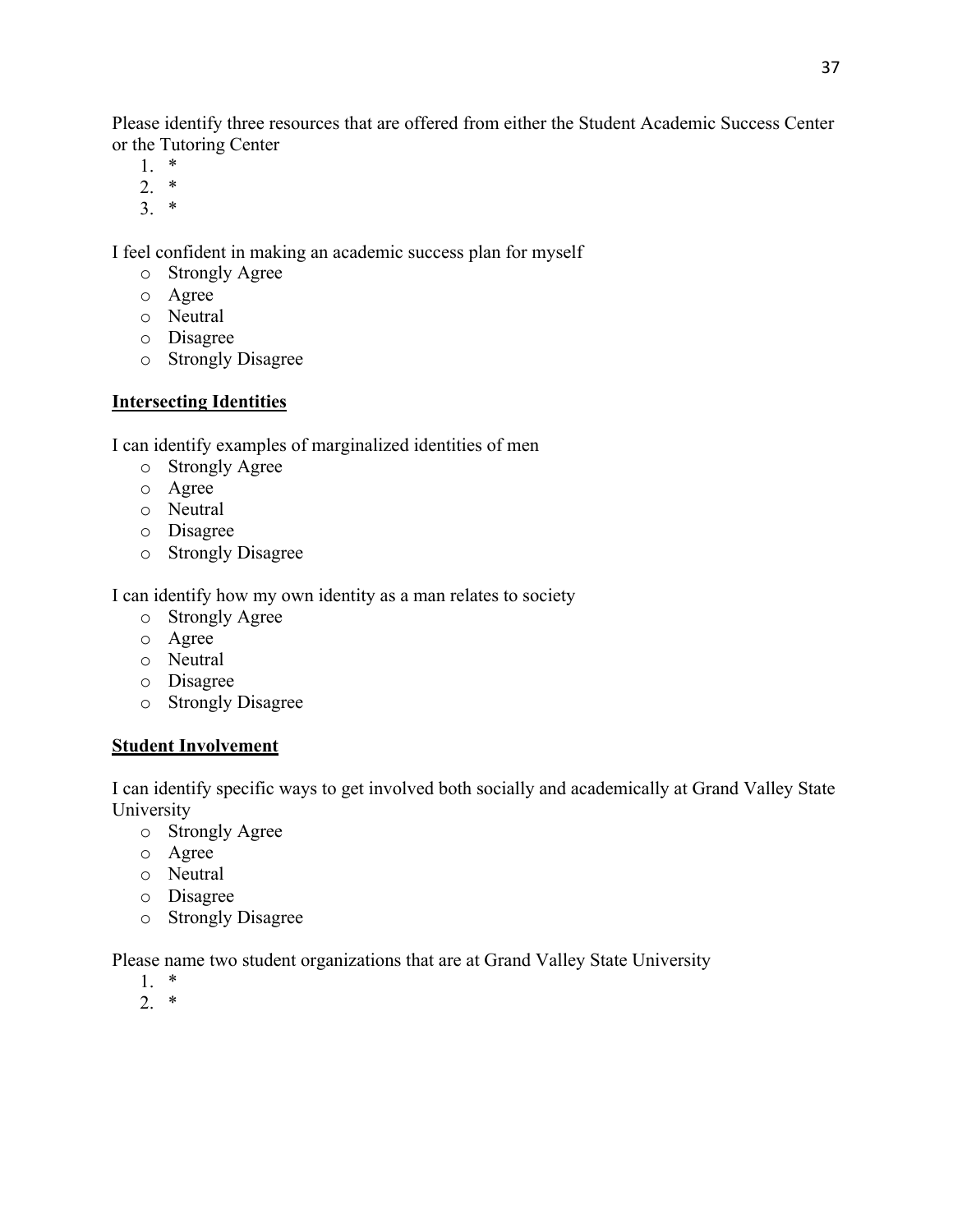Please identify three resources that are offered from either the Student Academic Success Center or the Tutoring Center

- 1. \*
- 2. \*
- 3. \*

I feel confident in making an academic success plan for myself

- o Strongly Agree
- o Agree
- o Neutral
- o Disagree
- o Strongly Disagree

## **Intersecting Identities**

I can identify examples of marginalized identities of men

- o Strongly Agree
- o Agree
- o Neutral
- o Disagree
- o Strongly Disagree

I can identify how my own identity as a man relates to society

- o Strongly Agree
- o Agree
- o Neutral
- o Disagree
- o Strongly Disagree

## **Student Involvement**

I can identify specific ways to get involved both socially and academically at Grand Valley State University

- o Strongly Agree
- o Agree
- o Neutral
- o Disagree
- o Strongly Disagree

Please name two student organizations that are at Grand Valley State University

- 1. \*
- 2. \*